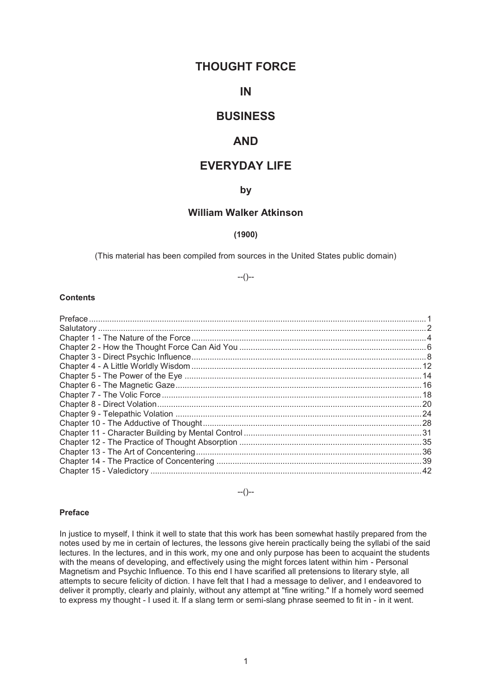# **THOUGHT FORCE**

# **IN**

# **BUSINESS**

# **AND**

# **EVERYDAY LIFE**

# **by**

# **William Walker Atkinson**

# **(1900)**

(This material has been compiled from sources in the United States public domain)

--()--

#### **Contents**

--()--

#### **Preface**

In justice to myself, I think it well to state that this work has been somewhat hastily prepared from the notes used by me in certain of lectures, the lessons give herein practically being the syllabi of the said lectures. In the lectures, and in this work, my one and only purpose has been to acquaint the students with the means of developing, and effectively using the might forces latent within him - Personal Magnetism and Psychic Influence. To this end I have scarified all pretensions to literary style, all attempts to secure felicity of diction. I have felt that I had a message to deliver, and I endeavored to deliver it promptly, clearly and plainly, without any attempt at "fine writing." If a homely word seemed to express my thought - I used it. If a slang term or semi-slang phrase seemed to fit in - in it went.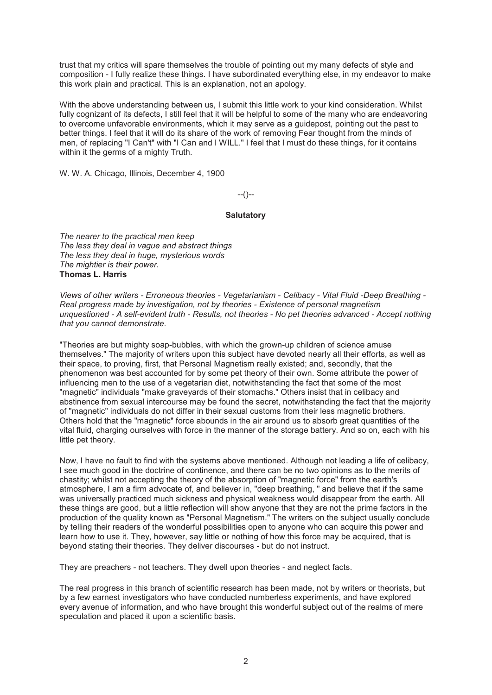trust that my critics will spare themselves the trouble of pointing out my many defects of style and composition - I fully realize these things. I have subordinated everything else, in my endeavor to make this work plain and practical. This is an explanation, not an apology.

With the above understanding between us, I submit this little work to your kind consideration. Whilst fully cognizant of its defects, I still feel that it will be helpful to some of the many who are endeavoring to overcome unfavorable environments, which it may serve as a guidepost, pointing out the past to better things. I feel that it will do its share of the work of removing Fear thought from the minds of men, of replacing "I Can't" with "I Can and I WILL." I feel that I must do these things, for it contains within it the germs of a mighty Truth.

W. W. A. Chicago, Illinois, December 4, 1900

 $-(-)$ 

## **Salutatory**

*The nearer to the practical men keep The less they deal in vague and abstract things The less they deal in huge, mysterious words The mightier is their power.*  **Thomas L. Harris** 

*Views of other writers - Erroneous theories - Vegetarianism - Celibacy - Vital Fluid -Deep Breathing - Real progress made by investigation, not by theories - Existence of personal magnetism unquestioned - A self-evident truth - Results, not theories - No pet theories advanced - Accept nothing that you cannot demonstrate.* 

"Theories are but mighty soap-bubbles, with which the grown-up children of science amuse themselves." The majority of writers upon this subject have devoted nearly all their efforts, as well as their space, to proving, first, that Personal Magnetism really existed; and, secondly, that the phenomenon was best accounted for by some pet theory of their own. Some attribute the power of influencing men to the use of a vegetarian diet, notwithstanding the fact that some of the most "magnetic" individuals "make graveyards of their stomachs." Others insist that in celibacy and abstinence from sexual intercourse may be found the secret, notwithstanding the fact that the majority of "magnetic" individuals do not differ in their sexual customs from their less magnetic brothers. Others hold that the "magnetic" force abounds in the air around us to absorb great quantities of the vital fluid, charging ourselves with force in the manner of the storage battery. And so on, each with his little pet theory.

Now, I have no fault to find with the systems above mentioned. Although not leading a life of celibacy, I see much good in the doctrine of continence, and there can be no two opinions as to the merits of chastity; whilst not accepting the theory of the absorption of "magnetic force" from the earth's atmosphere, I am a firm advocate of, and believer in, "deep breathing, " and believe that if the same was universally practiced much sickness and physical weakness would disappear from the earth. All these things are good, but a little reflection will show anyone that they are not the prime factors in the production of the quality known as "Personal Magnetism." The writers on the subject usually conclude by telling their readers of the wonderful possibilities open to anyone who can acquire this power and learn how to use it. They, however, say little or nothing of how this force may be acquired, that is beyond stating their theories. They deliver discourses - but do not instruct.

They are preachers - not teachers. They dwell upon theories - and neglect facts.

The real progress in this branch of scientific research has been made, not by writers or theorists, but by a few earnest investigators who have conducted numberless experiments, and have explored every avenue of information, and who have brought this wonderful subject out of the realms of mere speculation and placed it upon a scientific basis.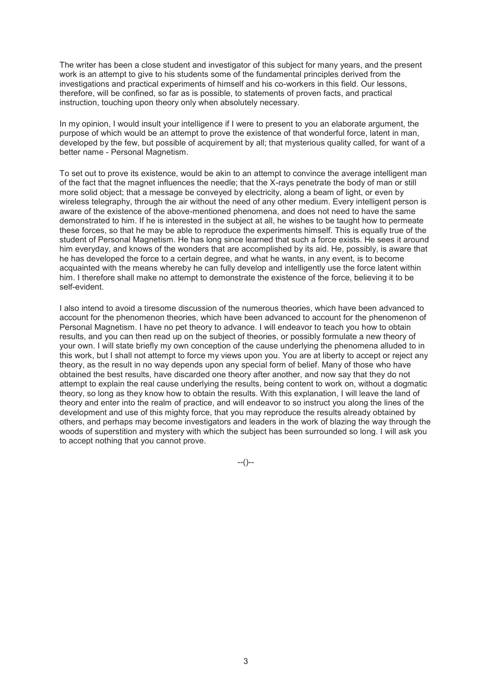The writer has been a close student and investigator of this subject for many years, and the present work is an attempt to give to his students some of the fundamental principles derived from the investigations and practical experiments of himself and his co-workers in this field. Our lessons, therefore, will be confined, so far as is possible, to statements of proven facts, and practical instruction, touching upon theory only when absolutely necessary.

In my opinion, I would insult your intelligence if I were to present to you an elaborate argument, the purpose of which would be an attempt to prove the existence of that wonderful force, latent in man, developed by the few, but possible of acquirement by all; that mysterious quality called, for want of a better name - Personal Magnetism.

To set out to prove its existence, would be akin to an attempt to convince the average intelligent man of the fact that the magnet influences the needle; that the X-rays penetrate the body of man or still more solid object; that a message be conveyed by electricity, along a beam of light, or even by wireless telegraphy, through the air without the need of any other medium. Every intelligent person is aware of the existence of the above-mentioned phenomena, and does not need to have the same demonstrated to him. If he is interested in the subject at all, he wishes to be taught how to permeate these forces, so that he may be able to reproduce the experiments himself. This is equally true of the student of Personal Magnetism. He has long since learned that such a force exists. He sees it around him everyday, and knows of the wonders that are accomplished by its aid. He, possibly, is aware that he has developed the force to a certain degree, and what he wants, in any event, is to become acquainted with the means whereby he can fully develop and intelligently use the force latent within him. I therefore shall make no attempt to demonstrate the existence of the force, believing it to be self-evident.

I also intend to avoid a tiresome discussion of the numerous theories, which have been advanced to account for the phenomenon theories, which have been advanced to account for the phenomenon of Personal Magnetism. I have no pet theory to advance. I will endeavor to teach you how to obtain results, and you can then read up on the subject of theories, or possibly formulate a new theory of your own. I will state briefly my own conception of the cause underlying the phenomena alluded to in this work, but I shall not attempt to force my views upon you. You are at liberty to accept or reject any theory, as the result in no way depends upon any special form of belief. Many of those who have obtained the best results, have discarded one theory after another, and now say that they do not attempt to explain the real cause underlying the results, being content to work on, without a dogmatic theory, so long as they know how to obtain the results. With this explanation, I will leave the land of theory and enter into the realm of practice, and will endeavor to so instruct you along the lines of the development and use of this mighty force, that you may reproduce the results already obtained by others, and perhaps may become investigators and leaders in the work of blazing the way through the woods of superstition and mystery with which the subject has been surrounded so long. I will ask you to accept nothing that you cannot prove.

--()--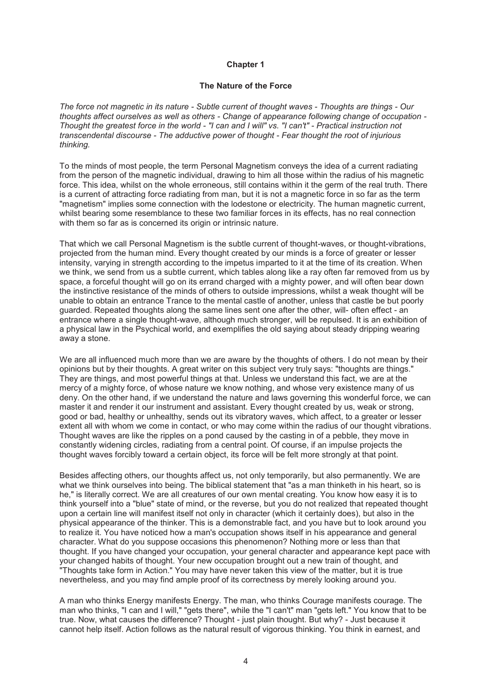#### **The Nature of the Force**

*The force not magnetic in its nature - Subtle current of thought waves - Thoughts are things - Our thoughts affect ourselves as well as others - Change of appearance following change of occupation - Thought the greatest force in the world - "I can and I will" vs. "I can't" - Practical instruction not transcendental discourse - The adductive power of thought - Fear thought the root of injurious thinking.* 

To the minds of most people, the term Personal Magnetism conveys the idea of a current radiating from the person of the magnetic individual, drawing to him all those within the radius of his magnetic force. This idea, whilst on the whole erroneous, still contains within it the germ of the real truth. There is a current of attracting force radiating from man, but it is not a magnetic force in so far as the term "magnetism" implies some connection with the lodestone or electricity. The human magnetic current, whilst bearing some resemblance to these two familiar forces in its effects, has no real connection with them so far as is concerned its origin or intrinsic nature.

That which we call Personal Magnetism is the subtle current of thought-waves, or thought-vibrations, projected from the human mind. Every thought created by our minds is a force of greater or lesser intensity, varying in strength according to the impetus imparted to it at the time of its creation. When we think, we send from us a subtle current, which tables along like a ray often far removed from us by space, a forceful thought will go on its errand charged with a mighty power, and will often bear down the instinctive resistance of the minds of others to outside impressions, whilst a weak thought will be unable to obtain an entrance Trance to the mental castle of another, unless that castle be but poorly guarded. Repeated thoughts along the same lines sent one after the other, will- often effect - an entrance where a single thought-wave, although much stronger, will be repulsed. It is an exhibition of a physical law in the Psychical world, and exemplifies the old saying about steady dripping wearing away a stone.

We are all influenced much more than we are aware by the thoughts of others. I do not mean by their opinions but by their thoughts. A great writer on this subject very truly says: "thoughts are things." They are things, and most powerful things at that. Unless we understand this fact, we are at the mercy of a mighty force, of whose nature we know nothing, and whose very existence many of us deny. On the other hand, if we understand the nature and laws governing this wonderful force, we can master it and render it our instrument and assistant. Every thought created by us, weak or strong, good or bad, healthy or unhealthy, sends out its vibratory waves, which affect, to a greater or lesser extent all with whom we come in contact, or who may come within the radius of our thought vibrations. Thought waves are like the ripples on a pond caused by the casting in of a pebble, they move in constantly widening circles, radiating from a central point. Of course, if an impulse projects the thought waves forcibly toward a certain object, its force will be felt more strongly at that point.

Besides affecting others, our thoughts affect us, not only temporarily, but also permanently. We are what we think ourselves into being. The biblical statement that "as a man thinketh in his heart, so is he," is literally correct. We are all creatures of our own mental creating. You know how easy it is to think yourself into a "blue" state of mind, or the reverse, but you do not realized that repeated thought upon a certain line will manifest itself not only in character (which it certainly does), but also in the physical appearance of the thinker. This is a demonstrable fact, and you have but to look around you to realize it. You have noticed how a man's occupation shows itself in his appearance and general character. What do you suppose occasions this phenomenon? Nothing more or less than that thought. If you have changed your occupation, your general character and appearance kept pace with your changed habits of thought. Your new occupation brought out a new train of thought, and "Thoughts take form in Action." You may have never taken this view of the matter, but it is true nevertheless, and you may find ample proof of its correctness by merely looking around you.

A man who thinks Energy manifests Energy. The man, who thinks Courage manifests courage. The man who thinks, "I can and I will," "gets there", while the "I can't" man "gets left." You know that to be true. Now, what causes the difference? Thought - just plain thought. But why? - Just because it cannot help itself. Action follows as the natural result of vigorous thinking. You think in earnest, and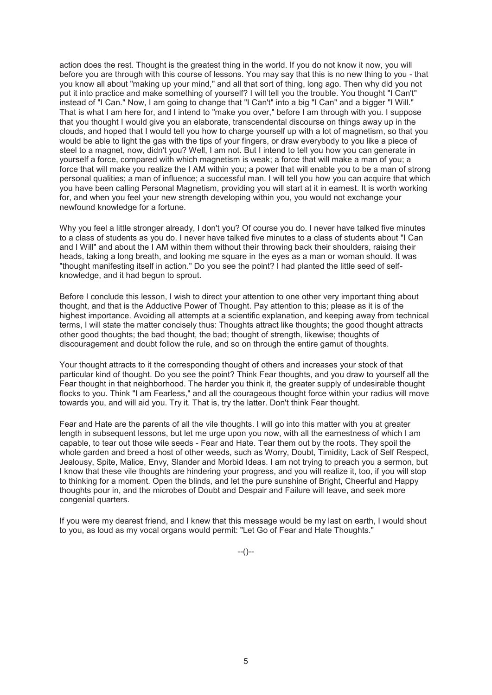action does the rest. Thought is the greatest thing in the world. If you do not know it now, you will before you are through with this course of lessons. You may say that this is no new thing to you - that you know all about "making up your mind," and all that sort of thing, long ago. Then why did you not put it into practice and make something of yourself? I will tell you the trouble. You thought "I Can't" instead of "I Can." Now, I am going to change that "I Can't" into a big "I Can" and a bigger "I Will." That is what I am here for, and I intend to "make you over," before I am through with you. I suppose that you thought I would give you an elaborate, transcendental discourse on things away up in the clouds, and hoped that I would tell you how to charge yourself up with a lot of magnetism, so that you would be able to light the gas with the tips of your fingers, or draw everybody to you like a piece of steel to a magnet, now, didn't you? Well, I am not. But I intend to tell you how you can generate in yourself a force, compared with which magnetism is weak; a force that will make a man of you; a force that will make you realize the I AM within you; a power that will enable you to be a man of strong personal qualities; a man of influence; a successful man. I will tell you how you can acquire that which you have been calling Personal Magnetism, providing you will start at it in earnest. It is worth working for, and when you feel your new strength developing within you, you would not exchange your newfound knowledge for a fortune.

Why you feel a little stronger already, I don't you? Of course you do. I never have talked five minutes to a class of students as you do. I never have talked five minutes to a class of students about "I Can and I Will" and about the I AM within them without their throwing back their shoulders, raising their heads, taking a long breath, and looking me square in the eyes as a man or woman should. It was "thought manifesting itself in action." Do you see the point? I had planted the little seed of selfknowledge, and it had begun to sprout.

Before I conclude this lesson, I wish to direct your attention to one other very important thing about thought, and that is the Adductive Power of Thought. Pay attention to this; please as it is of the highest importance. Avoiding all attempts at a scientific explanation, and keeping away from technical terms, I will state the matter concisely thus: Thoughts attract like thoughts; the good thought attracts other good thoughts; the bad thought, the bad; thought of strength, likewise; thoughts of discouragement and doubt follow the rule, and so on through the entire gamut of thoughts.

Your thought attracts to it the corresponding thought of others and increases your stock of that particular kind of thought. Do you see the point? Think Fear thoughts, and you draw to yourself all the Fear thought in that neighborhood. The harder you think it, the greater supply of undesirable thought flocks to you. Think "I am Fearless," and all the courageous thought force within your radius will move towards you, and will aid you. Try it. That is, try the latter. Don't think Fear thought.

Fear and Hate are the parents of all the vile thoughts. I will go into this matter with you at greater length in subsequent lessons, but let me urge upon you now, with all the earnestness of which I am capable, to tear out those wile seeds - Fear and Hate. Tear them out by the roots. They spoil the whole garden and breed a host of other weeds, such as Worry, Doubt, Timidity, Lack of Self Respect, Jealousy, Spite, Malice, Envy, Slander and Morbid Ideas. I am not trying to preach you a sermon, but I know that these vile thoughts are hindering your progress, and you will realize it, too, if you will stop to thinking for a moment. Open the blinds, and let the pure sunshine of Bright, Cheerful and Happy thoughts pour in, and the microbes of Doubt and Despair and Failure will leave, and seek more congenial quarters.

If you were my dearest friend, and I knew that this message would be my last on earth, I would shout to you, as loud as my vocal organs would permit: "Let Go of Fear and Hate Thoughts."

--()--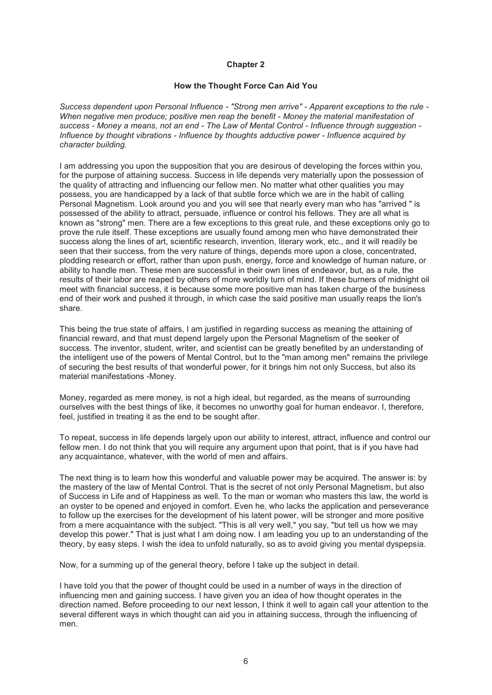#### **How the Thought Force Can Aid You**

*Success dependent upon Personal Influence - "Strong men arrive" - Apparent exceptions to the rule - When negative men produce; positive men reap the benefit - Money the material manifestation of success - Money a means, not an end - The Law of Mental Control - Influence through suggestion - Influence by thought vibrations - Influence by thoughts adductive power - Influence acquired by character building.* 

I am addressing you upon the supposition that you are desirous of developing the forces within you, for the purpose of attaining success. Success in life depends very materially upon the possession of the quality of attracting and influencing our fellow men. No matter what other qualities you may possess, you are handicapped by a lack of that subtle force which we are in the habit of calling Personal Magnetism. Look around you and you will see that nearly every man who has "arrived " is possessed of the ability to attract, persuade, influence or control his fellows. They are all what is known as "strong" men. There are a few exceptions to this great rule, and these exceptions only go to prove the rule itself. These exceptions are usually found among men who have demonstrated their success along the lines of art, scientific research, invention, literary work, etc., and it will readily be seen that their success, from the very nature of things, depends more upon a close, concentrated, plodding research or effort, rather than upon push, energy, force and knowledge of human nature, or ability to handle men. These men are successful in their own lines of endeavor, but, as a rule, the results of their labor are reaped by others of more worldly turn of mind. If these burners of midnight oil meet with financial success, it is because some more positive man has taken charge of the business end of their work and pushed it through, in which case the said positive man usually reaps the lion's share.

This being the true state of affairs, I am justified in regarding success as meaning the attaining of financial reward, and that must depend largely upon the Personal Magnetism of the seeker of success. The inventor, student, writer, and scientist can be greatly benefited by an understanding of the intelligent use of the powers of Mental Control, but to the "man among men" remains the privilege of securing the best results of that wonderful power, for it brings him not only Success, but also its material manifestations -Money.

Money, regarded as mere money, is not a high ideal, but regarded, as the means of surrounding ourselves with the best things of like, it becomes no unworthy goal for human endeavor. I, therefore, feel, justified in treating it as the end to be sought after.

To repeat, success in life depends largely upon our ability to interest, attract, influence and control our fellow men. I do not think that you will require any argument upon that point, that is if you have had any acquaintance, whatever, with the world of men and affairs.

The next thing is to learn how this wonderful and valuable power may be acquired. The answer is: by the mastery of the law of Mental Control. That is the secret of not only Personal Magnetism, but also of Success in Life and of Happiness as well. To the man or woman who masters this law, the world is an oyster to be opened and enjoyed in comfort. Even he, who lacks the application and perseverance to follow up the exercises for the development of his latent power, will be stronger and more positive from a mere acquaintance with the subject. "This is all very well," you say, "but tell us how we may develop this power." That is just what I am doing now. I am leading you up to an understanding of the theory, by easy steps. I wish the idea to unfold naturally, so as to avoid giving you mental dyspepsia.

Now, for a summing up of the general theory, before I take up the subject in detail.

I have told you that the power of thought could be used in a number of ways in the direction of influencing men and gaining success. I have given you an idea of how thought operates in the direction named. Before proceeding to our next lesson, I think it well to again call your attention to the several different ways in which thought can aid you in attaining success, through the influencing of men.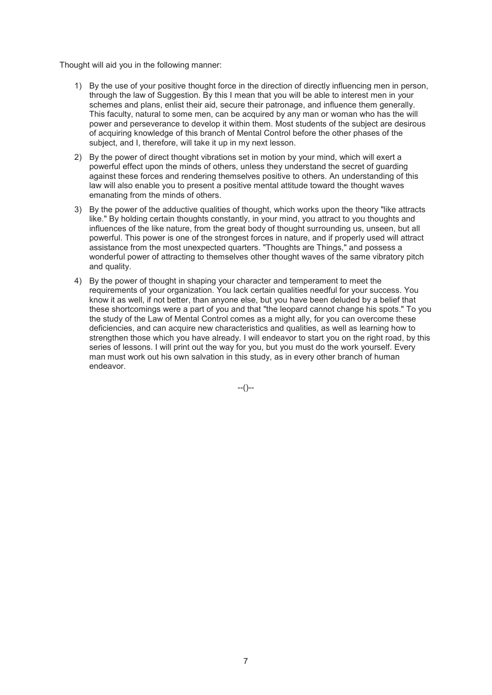Thought will aid you in the following manner:

- 1) By the use of your positive thought force in the direction of directly influencing men in person, through the law of Suggestion. By this I mean that you will be able to interest men in your schemes and plans, enlist their aid, secure their patronage, and influence them generally. This faculty, natural to some men, can be acquired by any man or woman who has the will power and perseverance to develop it within them. Most students of the subject are desirous of acquiring knowledge of this branch of Mental Control before the other phases of the subject, and I, therefore, will take it up in my next lesson.
- 2) By the power of direct thought vibrations set in motion by your mind, which will exert a powerful effect upon the minds of others, unless they understand the secret of guarding against these forces and rendering themselves positive to others. An understanding of this law will also enable you to present a positive mental attitude toward the thought waves emanating from the minds of others.
- 3) By the power of the adductive qualities of thought, which works upon the theory "like attracts like." By holding certain thoughts constantly, in your mind, you attract to you thoughts and influences of the like nature, from the great body of thought surrounding us, unseen, but all powerful. This power is one of the strongest forces in nature, and if properly used will attract assistance from the most unexpected quarters. "Thoughts are Things," and possess a wonderful power of attracting to themselves other thought waves of the same vibratory pitch and quality.
- 4) By the power of thought in shaping your character and temperament to meet the requirements of your organization. You lack certain qualities needful for your success. You know it as well, if not better, than anyone else, but you have been deluded by a belief that these shortcomings were a part of you and that "the leopard cannot change his spots." To you the study of the Law of Mental Control comes as a might ally, for you can overcome these deficiencies, and can acquire new characteristics and qualities, as well as learning how to strengthen those which you have already. I will endeavor to start you on the right road, by this series of lessons. I will print out the way for you, but you must do the work yourself. Every man must work out his own salvation in this study, as in every other branch of human endeavor.

 $-(-)$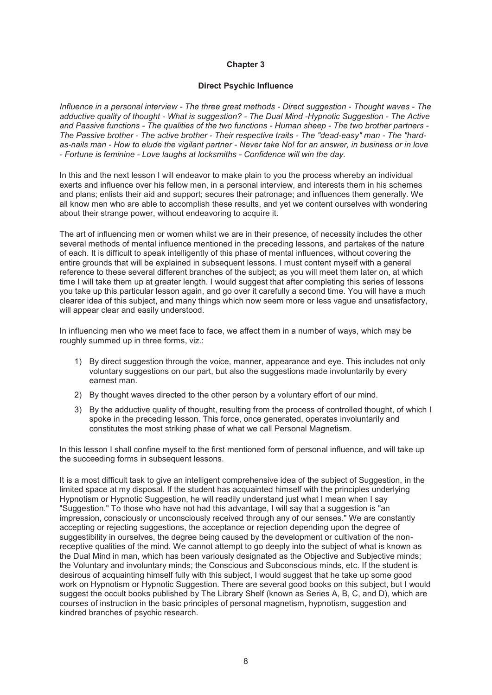#### **Direct Psychic Influence**

*Influence in a personal interview - The three great methods - Direct suggestion - Thought waves - The adductive quality of thought - What is suggestion? - The Dual Mind -Hypnotic Suggestion - The Active and Passive functions - The qualities of the two functions - Human sheep - The two brother partners - The Passive brother - The active brother - Their respective traits - The "dead-easy" man - The "hardas-nails man - How to elude the vigilant partner - Never take No! for an answer, in business or in love - Fortune is feminine - Love laughs at locksmiths - Confidence will win the day.* 

In this and the next lesson I will endeavor to make plain to you the process whereby an individual exerts and influence over his fellow men, in a personal interview, and interests them in his schemes and plans; enlists their aid and support; secures their patronage; and influences them generally. We all know men who are able to accomplish these results, and yet we content ourselves with wondering about their strange power, without endeavoring to acquire it.

The art of influencing men or women whilst we are in their presence, of necessity includes the other several methods of mental influence mentioned in the preceding lessons, and partakes of the nature of each. It is difficult to speak intelligently of this phase of mental influences, without covering the entire grounds that will be explained in subsequent lessons. I must content myself with a general reference to these several different branches of the subject; as you will meet them later on, at which time I will take them up at greater length. I would suggest that after completing this series of lessons you take up this particular lesson again, and go over it carefully a second time. You will have a much clearer idea of this subject, and many things which now seem more or less vague and unsatisfactory, will appear clear and easily understood.

In influencing men who we meet face to face, we affect them in a number of ways, which may be roughly summed up in three forms, viz.:

- 1) By direct suggestion through the voice, manner, appearance and eye. This includes not only voluntary suggestions on our part, but also the suggestions made involuntarily by every earnest man.
- 2) By thought waves directed to the other person by a voluntary effort of our mind.
- 3) By the adductive quality of thought, resulting from the process of controlled thought, of which I spoke in the preceding lesson. This force, once generated, operates involuntarily and constitutes the most striking phase of what we call Personal Magnetism.

In this lesson I shall confine myself to the first mentioned form of personal influence, and will take up the succeeding forms in subsequent lessons.

It is a most difficult task to give an intelligent comprehensive idea of the subject of Suggestion, in the limited space at my disposal. If the student has acquainted himself with the principles underlying Hypnotism or Hypnotic Suggestion, he will readily understand just what I mean when I say "Suggestion." To those who have not had this advantage, I will say that a suggestion is "an impression, consciously or unconsciously received through any of our senses." We are constantly accepting or rejecting suggestions, the acceptance or rejection depending upon the degree of suggestibility in ourselves, the degree being caused by the development or cultivation of the nonreceptive qualities of the mind. We cannot attempt to go deeply into the subject of what is known as the Dual Mind in man, which has been variously designated as the Objective and Subjective minds; the Voluntary and involuntary minds; the Conscious and Subconscious minds, etc. If the student is desirous of acquainting himself fully with this subject, I would suggest that he take up some good work on Hypnotism or Hypnotic Suggestion. There are several good books on this subject, but I would suggest the occult books published by The Library Shelf (known as Series A, B, C, and D), which are courses of instruction in the basic principles of personal magnetism, hypnotism, suggestion and kindred branches of psychic research.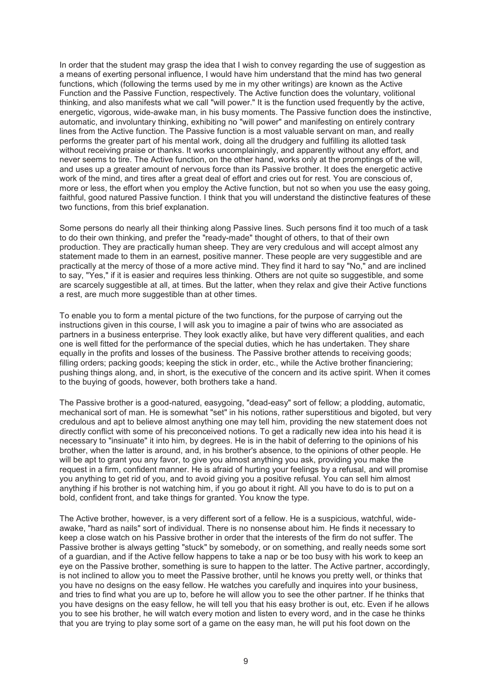In order that the student may grasp the idea that I wish to convey regarding the use of suggestion as a means of exerting personal influence, I would have him understand that the mind has two general functions, which (following the terms used by me in my other writings) are known as the Active Function and the Passive Function, respectively. The Active function does the voluntary, volitional thinking, and also manifests what we call "will power." It is the function used frequently by the active, energetic, vigorous, wide-awake man, in his busy moments. The Passive function does the instinctive, automatic, and involuntary thinking, exhibiting no "will power" and manifesting on entirely contrary lines from the Active function. The Passive function is a most valuable servant on man, and really performs the greater part of his mental work, doing all the drudgery and fulfilling its allotted task without receiving praise or thanks. It works uncomplainingly, and apparently without any effort, and never seems to tire. The Active function, on the other hand, works only at the promptings of the will, and uses up a greater amount of nervous force than its Passive brother. It does the energetic active work of the mind, and tires after a great deal of effort and cries out for rest. You are conscious of, more or less, the effort when you employ the Active function, but not so when you use the easy going, faithful, good natured Passive function. I think that you will understand the distinctive features of these two functions, from this brief explanation.

Some persons do nearly all their thinking along Passive lines. Such persons find it too much of a task to do their own thinking, and prefer the "ready-made" thought of others, to that of their own production. They are practically human sheep. They are very credulous and will accept almost any statement made to them in an earnest, positive manner. These people are very suggestible and are practically at the mercy of those of a more active mind. They find it hard to say "No," and are inclined to say, "Yes," if it is easier and requires less thinking. Others are not quite so suggestible, and some are scarcely suggestible at all, at times. But the latter, when they relax and give their Active functions a rest, are much more suggestible than at other times.

To enable you to form a mental picture of the two functions, for the purpose of carrying out the instructions given in this course, I will ask you to imagine a pair of twins who are associated as partners in a business enterprise. They look exactly alike, but have very different qualities, and each one is well fitted for the performance of the special duties, which he has undertaken. They share equally in the profits and losses of the business. The Passive brother attends to receiving goods; filling orders; packing goods; keeping the stick in order, etc., while the Active brother financiering; pushing things along, and, in short, is the executive of the concern and its active spirit. When it comes to the buying of goods, however, both brothers take a hand.

The Passive brother is a good-natured, easygoing, "dead-easy" sort of fellow; a plodding, automatic, mechanical sort of man. He is somewhat "set" in his notions, rather superstitious and bigoted, but very credulous and apt to believe almost anything one may tell him, providing the new statement does not directly conflict with some of his preconceived notions. To get a radically new idea into his head it is necessary to "insinuate" it into him, by degrees. He is in the habit of deferring to the opinions of his brother, when the latter is around, and, in his brother's absence, to the opinions of other people. He will be apt to grant you any favor, to give you almost anything you ask, providing you make the request in a firm, confident manner. He is afraid of hurting your feelings by a refusal, and will promise you anything to get rid of you, and to avoid giving you a positive refusal. You can sell him almost anything if his brother is not watching him, if you go about it right. All you have to do is to put on a bold, confident front, and take things for granted. You know the type.

The Active brother, however, is a very different sort of a fellow. He is a suspicious, watchful, wideawake, "hard as nails" sort of individual. There is no nonsense about him. He finds it necessary to keep a close watch on his Passive brother in order that the interests of the firm do not suffer. The Passive brother is always getting "stuck" by somebody, or on something, and really needs some sort of a guardian, and if the Active fellow happens to take a nap or be too busy with his work to keep an eye on the Passive brother, something is sure to happen to the latter. The Active partner, accordingly, is not inclined to allow you to meet the Passive brother, until he knows you pretty well, or thinks that you have no designs on the easy fellow. He watches you carefully and inquires into your business, and tries to find what you are up to, before he will allow you to see the other partner. If he thinks that you have designs on the easy fellow, he will tell you that his easy brother is out, etc. Even if he allows you to see his brother, he will watch every motion and listen to every word, and in the case he thinks that you are trying to play some sort of a game on the easy man, he will put his foot down on the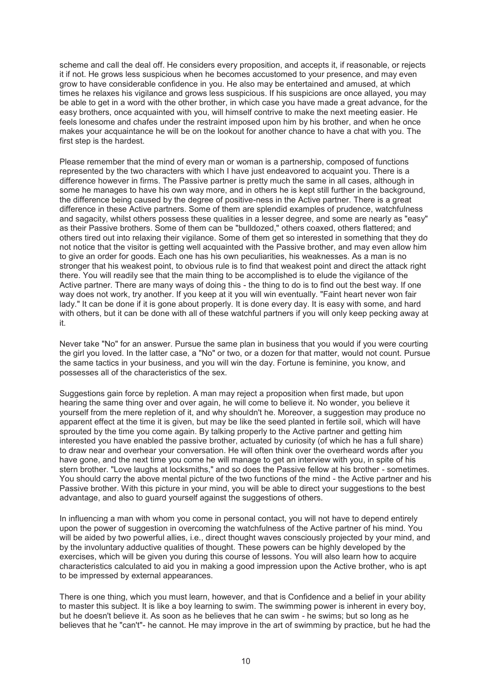scheme and call the deal off. He considers every proposition, and accepts it, if reasonable, or rejects it if not. He grows less suspicious when he becomes accustomed to your presence, and may even grow to have considerable confidence in you. He also may be entertained and amused, at which times he relaxes his vigilance and grows less suspicious. If his suspicions are once allayed, you may be able to get in a word with the other brother, in which case you have made a great advance, for the easy brothers, once acquainted with you, will himself contrive to make the next meeting easier. He feels lonesome and chafes under the restraint imposed upon him by his brother, and when he once makes your acquaintance he will be on the lookout for another chance to have a chat with you. The first step is the hardest.

Please remember that the mind of every man or woman is a partnership, composed of functions represented by the two characters with which I have just endeavored to acquaint you. There is a difference however in firms. The Passive partner is pretty much the same in all cases, although in some he manages to have his own way more, and in others he is kept still further in the background, the difference being caused by the degree of positive-ness in the Active partner. There is a great difference in these Active partners. Some of them are splendid examples of prudence, watchfulness and sagacity, whilst others possess these qualities in a lesser degree, and some are nearly as "easy" as their Passive brothers. Some of them can be "bulldozed," others coaxed, others flattered; and others tired out into relaxing their vigilance. Some of them get so interested in something that they do not notice that the visitor is getting well acquainted with the Passive brother, and may even allow him to give an order for goods. Each one has his own peculiarities, his weaknesses. As a man is no stronger that his weakest point, to obvious rule is to find that weakest point and direct the attack right there. You will readily see that the main thing to be accomplished is to elude the vigilance of the Active partner. There are many ways of doing this - the thing to do is to find out the best way. If one way does not work, try another. If you keep at it you will win eventually. "Faint heart never won fair lady." It can be done if it is gone about properly. It is done every day. It is easy with some, and hard with others, but it can be done with all of these watchful partners if you will only keep pecking away at it.

Never take "No" for an answer. Pursue the same plan in business that you would if you were courting the girl you loved. In the latter case, a "No" or two, or a dozen for that matter, would not count. Pursue the same tactics in your business, and you will win the day. Fortune is feminine, you know, and possesses all of the characteristics of the sex.

Suggestions gain force by repletion. A man may reject a proposition when first made, but upon hearing the same thing over and over again, he will come to believe it. No wonder, you believe it yourself from the mere repletion of it, and why shouldn't he. Moreover, a suggestion may produce no apparent effect at the time it is given, but may be like the seed planted in fertile soil, which will have sprouted by the time you come again. By talking properly to the Active partner and getting him interested you have enabled the passive brother, actuated by curiosity (of which he has a full share) to draw near and overhear your conversation. He will often think over the overheard words after you have gone, and the next time you come he will manage to get an interview with you, in spite of his stern brother. "Love laughs at locksmiths," and so does the Passive fellow at his brother - sometimes. You should carry the above mental picture of the two functions of the mind - the Active partner and his Passive brother. With this picture in your mind, you will be able to direct your suggestions to the best advantage, and also to guard yourself against the suggestions of others.

In influencing a man with whom you come in personal contact, you will not have to depend entirely upon the power of suggestion in overcoming the watchfulness of the Active partner of his mind. You will be aided by two powerful allies, i.e., direct thought waves consciously projected by your mind, and by the involuntary adductive qualities of thought. These powers can be highly developed by the exercises, which will be given you during this course of lessons. You will also learn how to acquire characteristics calculated to aid you in making a good impression upon the Active brother, who is apt to be impressed by external appearances.

There is one thing, which you must learn, however, and that is Confidence and a belief in your ability to master this subject. It is like a boy learning to swim. The swimming power is inherent in every boy, but he doesn't believe it. As soon as he believes that he can swim - he swims; but so long as he believes that he "can't"- he cannot. He may improve in the art of swimming by practice, but he had the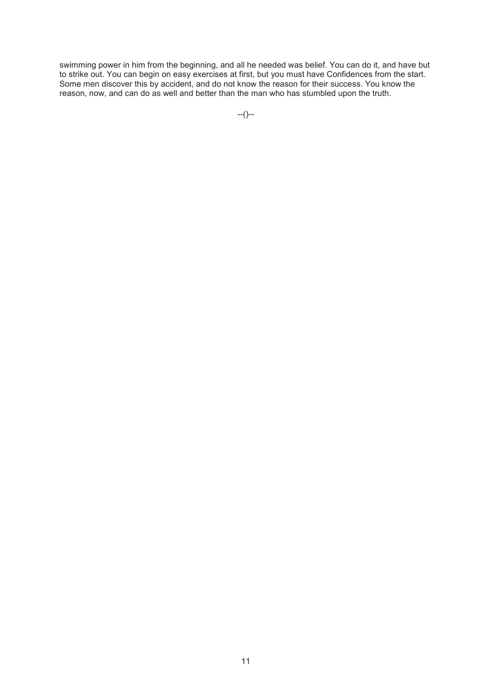swimming power in him from the beginning, and all he needed was belief. You can do it, and have but to strike out. You can begin on easy exercises at first, but you must have Confidences from the start. Some men discover this by accident, and do not know the reason for their success. You know the reason, now, and can do as well and better than the man who has stumbled upon the truth.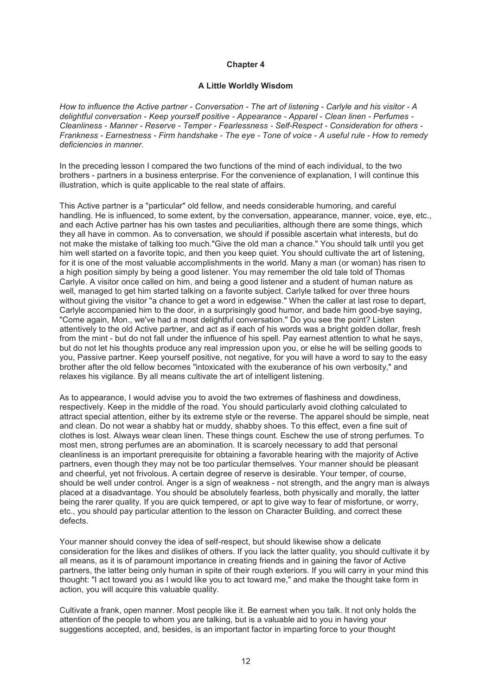#### **A Little Worldly Wisdom**

*How to influence the Active partner - Conversation - The art of listening - Carlyle and his visitor - A delightful conversation - Keep yourself positive - Appearance - Apparel - Clean linen - Perfumes - Cleanliness - Manner - Reserve - Temper - Fearlessness - Self-Respect - Consideration for others - Frankness - Earnestness - Firm handshake - The eye - Tone of voice - A useful rule - How to remedy deficiencies in manner.* 

In the preceding lesson I compared the two functions of the mind of each individual, to the two brothers - partners in a business enterprise. For the convenience of explanation, I will continue this illustration, which is quite applicable to the real state of affairs.

This Active partner is a "particular" old fellow, and needs considerable humoring, and careful handling. He is influenced, to some extent, by the conversation, appearance, manner, voice, eve, etc., and each Active partner has his own tastes and peculiarities, although there are some things, which they all have in common. As to conversation, we should if possible ascertain what interests, but do not make the mistake of talking too much."Give the old man a chance." You should talk until you get him well started on a favorite topic, and then you keep quiet. You should cultivate the art of listening, for it is one of the most valuable accomplishments in the world. Many a man (or woman) has risen to a high position simply by being a good listener. You may remember the old tale told of Thomas Carlyle. A visitor once called on him, and being a good listener and a student of human nature as well, managed to get him started talking on a favorite subject. Carlyle talked for over three hours without giving the visitor "a chance to get a word in edgewise." When the caller at last rose to depart, Carlyle accompanied him to the door, in a surprisingly good humor, and bade him good-bye saying, "Come again, Mon., we've had a most delightful conversation." Do you see the point? Listen attentively to the old Active partner, and act as if each of his words was a bright golden dollar, fresh from the mint - but do not fall under the influence of his spell. Pay earnest attention to what he says, but do not let his thoughts produce any real impression upon you, or else he will be selling goods to you, Passive partner. Keep yourself positive, not negative, for you will have a word to say to the easy brother after the old fellow becomes "intoxicated with the exuberance of his own verbosity," and relaxes his vigilance. By all means cultivate the art of intelligent listening.

As to appearance, I would advise you to avoid the two extremes of flashiness and dowdiness, respectively. Keep in the middle of the road. You should particularly avoid clothing calculated to attract special attention, either by its extreme style or the reverse. The apparel should be simple, neat and clean. Do not wear a shabby hat or muddy, shabby shoes. To this effect, even a fine suit of clothes is lost. Always wear clean linen. These things count. Eschew the use of strong perfumes. To most men, strong perfumes are an abomination. It is scarcely necessary to add that personal cleanliness is an important prerequisite for obtaining a favorable hearing with the majority of Active partners, even though they may not be too particular themselves. Your manner should be pleasant and cheerful, yet not frivolous. A certain degree of reserve is desirable. Your temper, of course, should be well under control. Anger is a sign of weakness - not strength, and the angry man is always placed at a disadvantage. You should be absolutely fearless, both physically and morally, the latter being the rarer quality. If you are quick tempered, or apt to give way to fear of misfortune, or worry, etc., you should pay particular attention to the lesson on Character Building, and correct these defects.

Your manner should convey the idea of self-respect, but should likewise show a delicate consideration for the likes and dislikes of others. If you lack the latter quality, you should cultivate it by all means, as it is of paramount importance in creating friends and in gaining the favor of Active partners, the latter being only human in spite of their rough exteriors. If you will carry in your mind this thought: "I act toward you as I would like you to act toward me," and make the thought take form in action, you will acquire this valuable quality.

Cultivate a frank, open manner. Most people like it. Be earnest when you talk. It not only holds the attention of the people to whom you are talking, but is a valuable aid to you in having your suggestions accepted, and, besides, is an important factor in imparting force to your thought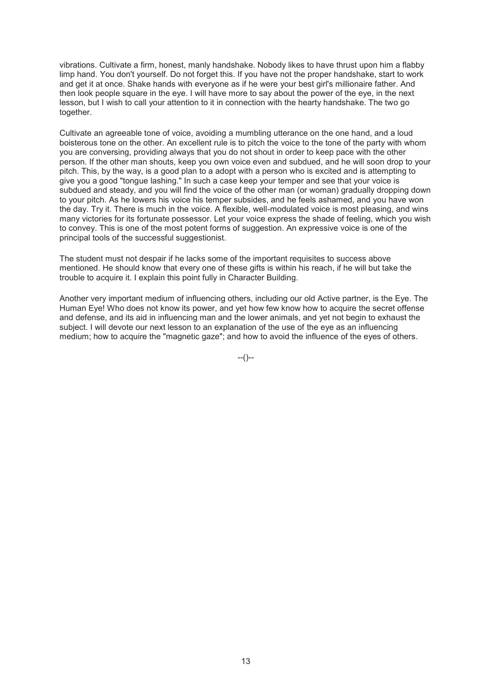vibrations. Cultivate a firm, honest, manly handshake. Nobody likes to have thrust upon him a flabby limp hand. You don't yourself. Do not forget this. If you have not the proper handshake, start to work and get it at once. Shake hands with everyone as if he were your best girl's millionaire father. And then look people square in the eye. I will have more to say about the power of the eye, in the next lesson, but I wish to call your attention to it in connection with the hearty handshake. The two go together.

Cultivate an agreeable tone of voice, avoiding a mumbling utterance on the one hand, and a loud boisterous tone on the other. An excellent rule is to pitch the voice to the tone of the party with whom you are conversing, providing always that you do not shout in order to keep pace with the other person. If the other man shouts, keep you own voice even and subdued, and he will soon drop to your pitch. This, by the way, is a good plan to a adopt with a person who is excited and is attempting to give you a good "tongue lashing." In such a case keep your temper and see that your voice is subdued and steady, and you will find the voice of the other man (or woman) gradually dropping down to your pitch. As he lowers his voice his temper subsides, and he feels ashamed, and you have won the day. Try it. There is much in the voice. A flexible, well-modulated voice is most pleasing, and wins many victories for its fortunate possessor. Let your voice express the shade of feeling, which you wish to convey. This is one of the most potent forms of suggestion. An expressive voice is one of the principal tools of the successful suggestionist.

The student must not despair if he lacks some of the important requisites to success above mentioned. He should know that every one of these gifts is within his reach, if he will but take the trouble to acquire it. I explain this point fully in Character Building.

Another very important medium of influencing others, including our old Active partner, is the Eye. The Human Eye! Who does not know its power, and yet how few know how to acquire the secret offense and defense, and its aid in influencing man and the lower animals, and yet not begin to exhaust the subject. I will devote our next lesson to an explanation of the use of the eye as an influencing medium; how to acquire the "magnetic gaze"; and how to avoid the influence of the eyes of others.

 $-(-)$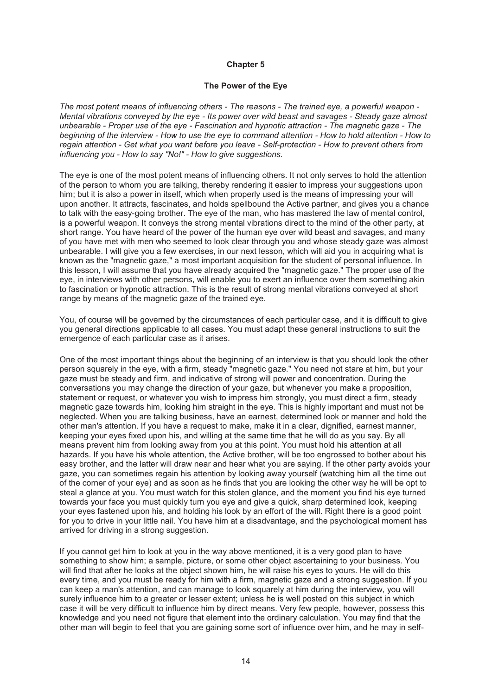#### **The Power of the Eye**

*The most potent means of influencing others - The reasons - The trained eye, a powerful weapon - Mental vibrations conveyed by the eye - Its power over wild beast and savages - Steady gaze almost unbearable - Proper use of the eye - Fascination and hypnotic attraction - The magnetic gaze - The beginning of the interview - How to use the eye to command attention - How to hold attention - How to regain attention - Get what you want before you leave - Self-protection - How to prevent others from influencing you - How to say "No!" - How to give suggestions.* 

The eye is one of the most potent means of influencing others. It not only serves to hold the attention of the person to whom you are talking, thereby rendering it easier to impress your suggestions upon him; but it is also a power in itself, which when properly used is the means of impressing your will upon another. It attracts, fascinates, and holds spellbound the Active partner, and gives you a chance to talk with the easy-going brother. The eye of the man, who has mastered the law of mental control, is a powerful weapon. It conveys the strong mental vibrations direct to the mind of the other party, at short range. You have heard of the power of the human eye over wild beast and savages, and many of you have met with men who seemed to look clear through you and whose steady gaze was almost unbearable. I will give you a few exercises, in our next lesson, which will aid you in acquiring what is known as the "magnetic gaze," a most important acquisition for the student of personal influence. In this lesson, I will assume that you have already acquired the "magnetic gaze." The proper use of the eye, in interviews with other persons, will enable you to exert an influence over them something akin to fascination or hypnotic attraction. This is the result of strong mental vibrations conveyed at short range by means of the magnetic gaze of the trained eye.

You, of course will be governed by the circumstances of each particular case, and it is difficult to give you general directions applicable to all cases. You must adapt these general instructions to suit the emergence of each particular case as it arises.

One of the most important things about the beginning of an interview is that you should look the other person squarely in the eye, with a firm, steady "magnetic gaze." You need not stare at him, but your gaze must be steady and firm, and indicative of strong will power and concentration. During the conversations you may change the direction of your gaze, but whenever you make a proposition, statement or request, or whatever you wish to impress him strongly, you must direct a firm, steady magnetic gaze towards him, looking him straight in the eye. This is highly important and must not be neglected. When you are talking business, have an earnest, determined look or manner and hold the other man's attention. If you have a request to make, make it in a clear, dignified, earnest manner, keeping your eyes fixed upon his, and willing at the same time that he will do as you say. By all means prevent him from looking away from you at this point. You must hold his attention at all hazards. If you have his whole attention, the Active brother, will be too engrossed to bother about his easy brother, and the latter will draw near and hear what you are saying. If the other party avoids your gaze, you can sometimes regain his attention by looking away yourself (watching him all the time out of the corner of your eye) and as soon as he finds that you are looking the other way he will be opt to steal a glance at you. You must watch for this stolen glance, and the moment you find his eye turned towards your face you must quickly turn you eye and give a quick, sharp determined look, keeping your eyes fastened upon his, and holding his look by an effort of the will. Right there is a good point for you to drive in your little nail. You have him at a disadvantage, and the psychological moment has arrived for driving in a strong suggestion.

If you cannot get him to look at you in the way above mentioned, it is a very good plan to have something to show him; a sample, picture, or some other object ascertaining to your business. You will find that after he looks at the object shown him, he will raise his eyes to yours. He will do this every time, and you must be ready for him with a firm, magnetic gaze and a strong suggestion. If you can keep a man's attention, and can manage to look squarely at him during the interview, you will surely influence him to a greater or lesser extent; unless he is well posted on this subject in which case it will be very difficult to influence him by direct means. Very few people, however, possess this knowledge and you need not figure that element into the ordinary calculation. You may find that the other man will begin to feel that you are gaining some sort of influence over him, and he may in self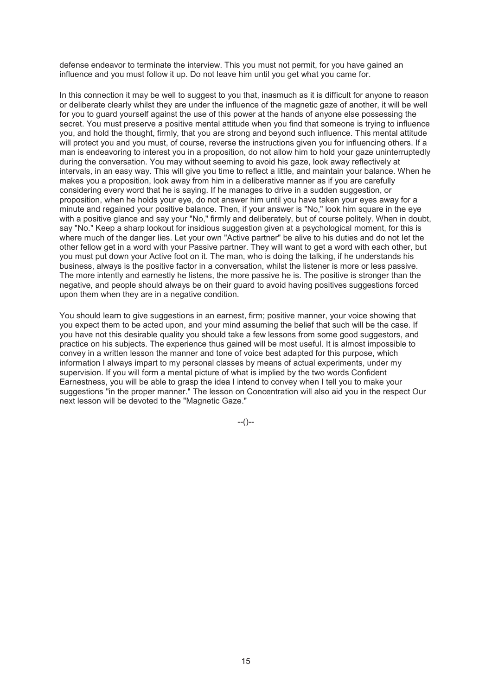defense endeavor to terminate the interview. This you must not permit, for you have gained an influence and you must follow it up. Do not leave him until you get what you came for.

In this connection it may be well to suggest to you that, inasmuch as it is difficult for anyone to reason or deliberate clearly whilst they are under the influence of the magnetic gaze of another, it will be well for you to guard yourself against the use of this power at the hands of anyone else possessing the secret. You must preserve a positive mental attitude when you find that someone is trying to influence you, and hold the thought, firmly, that you are strong and beyond such influence. This mental attitude will protect you and you must, of course, reverse the instructions given you for influencing others. If a man is endeavoring to interest you in a proposition, do not allow him to hold your gaze uninterruptedly during the conversation. You may without seeming to avoid his gaze, look away reflectively at intervals, in an easy way. This will give you time to reflect a little, and maintain your balance. When he makes you a proposition, look away from him in a deliberative manner as if you are carefully considering every word that he is saying. If he manages to drive in a sudden suggestion, or proposition, when he holds your eye, do not answer him until you have taken your eyes away for a minute and regained your positive balance. Then, if your answer is "No," look him square in the eye with a positive glance and say your "No," firmly and deliberately, but of course politely. When in doubt, say "No." Keep a sharp lookout for insidious suggestion given at a psychological moment, for this is where much of the danger lies. Let your own "Active partner" be alive to his duties and do not let the other fellow get in a word with your Passive partner. They will want to get a word with each other, but you must put down your Active foot on it. The man, who is doing the talking, if he understands his business, always is the positive factor in a conversation, whilst the listener is more or less passive. The more intently and earnestly he listens, the more passive he is. The positive is stronger than the negative, and people should always be on their guard to avoid having positives suggestions forced upon them when they are in a negative condition.

You should learn to give suggestions in an earnest, firm; positive manner, your voice showing that you expect them to be acted upon, and your mind assuming the belief that such will be the case. If you have not this desirable quality you should take a few lessons from some good suggestors, and practice on his subjects. The experience thus gained will be most useful. It is almost impossible to convey in a written lesson the manner and tone of voice best adapted for this purpose, which information I always impart to my personal classes by means of actual experiments, under my supervision. If you will form a mental picture of what is implied by the two words Confident Earnestness, you will be able to grasp the idea I intend to convey when I tell you to make your suggestions "in the proper manner." The lesson on Concentration will also aid you in the respect Our next lesson will be devoted to the "Magnetic Gaze."

 $-(-)$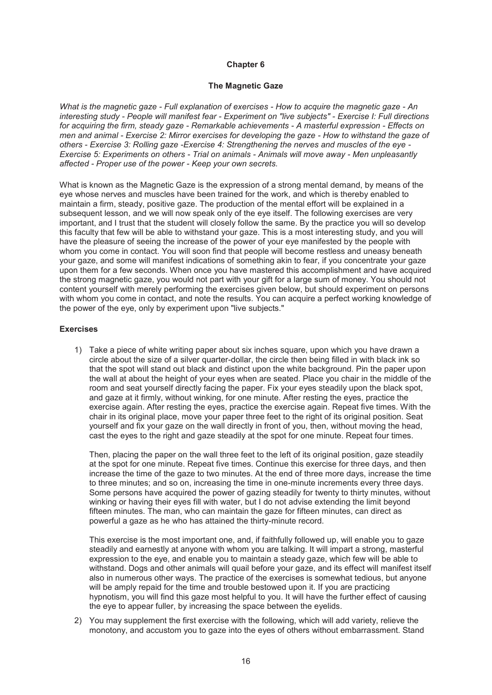#### **The Magnetic Gaze**

*What is the magnetic gaze - Full explanation of exercises - How to acquire the magnetic gaze - An interesting study - People will manifest fear - Experiment on "live subjects" - Exercise I: Full directions for acquiring the firm, steady gaze - Remarkable achievements - A masterful expression - Effects on men and animal - Exercise 2: Mirror exercises for developing the gaze - How to withstand the gaze of others - Exercise 3: Rolling gaze -Exercise 4: Strengthening the nerves and muscles of the eye - Exercise 5: Experiments on others - Trial on animals - Animals will move away - Men unpleasantly affected - Proper use of the power - Keep your own secrets.* 

What is known as the Magnetic Gaze is the expression of a strong mental demand, by means of the eye whose nerves and muscles have been trained for the work, and which is thereby enabled to maintain a firm, steady, positive gaze. The production of the mental effort will be explained in a subsequent lesson, and we will now speak only of the eye itself. The following exercises are very important, and I trust that the student will closely follow the same. By the practice you will so develop this faculty that few will be able to withstand your gaze. This is a most interesting study, and you will have the pleasure of seeing the increase of the power of your eye manifested by the people with whom you come in contact. You will soon find that people will become restless and uneasy beneath your gaze, and some will manifest indications of something akin to fear, if you concentrate your gaze upon them for a few seconds. When once you have mastered this accomplishment and have acquired the strong magnetic gaze, you would not part with your gift for a large sum of money. You should not content yourself with merely performing the exercises given below, but should experiment on persons with whom you come in contact, and note the results. You can acquire a perfect working knowledge of the power of the eye, only by experiment upon "live subjects."

# **Exercises**

1) Take a piece of white writing paper about six inches square, upon which you have drawn a circle about the size of a silver quarter-dollar, the circle then being filled in with black ink so that the spot will stand out black and distinct upon the white background. Pin the paper upon the wall at about the height of your eyes when are seated. Place you chair in the middle of the room and seat yourself directly facing the paper. Fix your eyes steadily upon the black spot, and gaze at it firmly, without winking, for one minute. After resting the eyes, practice the exercise again. After resting the eyes, practice the exercise again. Repeat five times. With the chair in its original place, move your paper three feet to the right of its original position. Seat yourself and fix your gaze on the wall directly in front of you, then, without moving the head, cast the eyes to the right and gaze steadily at the spot for one minute. Repeat four times.

Then, placing the paper on the wall three feet to the left of its original position, gaze steadily at the spot for one minute. Repeat five times. Continue this exercise for three days, and then increase the time of the gaze to two minutes. At the end of three more days, increase the time to three minutes; and so on, increasing the time in one-minute increments every three days. Some persons have acquired the power of gazing steadily for twenty to thirty minutes, without winking or having their eyes fill with water, but I do not advise extending the limit beyond fifteen minutes. The man, who can maintain the gaze for fifteen minutes, can direct as powerful a gaze as he who has attained the thirty-minute record.

This exercise is the most important one, and, if faithfully followed up, will enable you to gaze steadily and earnestly at anyone with whom you are talking. It will impart a strong, masterful expression to the eye, and enable you to maintain a steady gaze, which few will be able to withstand. Dogs and other animals will quail before your gaze, and its effect will manifest itself also in numerous other ways. The practice of the exercises is somewhat tedious, but anyone will be amply repaid for the time and trouble bestowed upon it. If you are practicing hypnotism, you will find this gaze most helpful to you. It will have the further effect of causing the eye to appear fuller, by increasing the space between the eyelids.

2) You may supplement the first exercise with the following, which will add variety, relieve the monotony, and accustom you to gaze into the eyes of others without embarrassment. Stand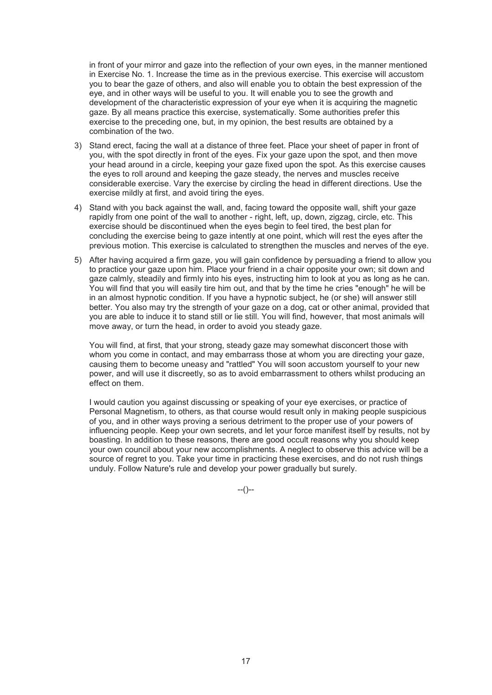in front of your mirror and gaze into the reflection of your own eyes, in the manner mentioned in Exercise No. 1. Increase the time as in the previous exercise. This exercise will accustom you to bear the gaze of others, and also will enable you to obtain the best expression of the eye, and in other ways will be useful to you. It will enable you to see the growth and development of the characteristic expression of your eye when it is acquiring the magnetic gaze. By all means practice this exercise, systematically. Some authorities prefer this exercise to the preceding one, but, in my opinion, the best results are obtained by a combination of the two.

- 3) Stand erect, facing the wall at a distance of three feet. Place your sheet of paper in front of you, with the spot directly in front of the eyes. Fix your gaze upon the spot, and then move your head around in a circle, keeping your gaze fixed upon the spot. As this exercise causes the eyes to roll around and keeping the gaze steady, the nerves and muscles receive considerable exercise. Vary the exercise by circling the head in different directions. Use the exercise mildly at first, and avoid tiring the eyes.
- 4) Stand with you back against the wall, and, facing toward the opposite wall, shift your gaze rapidly from one point of the wall to another - right, left, up, down, zigzag, circle, etc. This exercise should be discontinued when the eyes begin to feel tired, the best plan for concluding the exercise being to gaze intently at one point, which will rest the eyes after the previous motion. This exercise is calculated to strengthen the muscles and nerves of the eye.
- 5) After having acquired a firm gaze, you will gain confidence by persuading a friend to allow you to practice your gaze upon him. Place your friend in a chair opposite your own; sit down and gaze calmly, steadily and firmly into his eyes, instructing him to look at you as long as he can. You will find that you will easily tire him out, and that by the time he cries "enough" he will be in an almost hypnotic condition. If you have a hypnotic subject, he (or she) will answer still better. You also may try the strength of your gaze on a dog, cat or other animal, provided that you are able to induce it to stand still or lie still. You will find, however, that most animals will move away, or turn the head, in order to avoid you steady gaze.

You will find, at first, that your strong, steady gaze may somewhat disconcert those with whom you come in contact, and may embarrass those at whom you are directing your gaze, causing them to become uneasy and "rattled" You will soon accustom yourself to your new power, and will use it discreetly, so as to avoid embarrassment to others whilst producing an effect on them.

I would caution you against discussing or speaking of your eye exercises, or practice of Personal Magnetism, to others, as that course would result only in making people suspicious of you, and in other ways proving a serious detriment to the proper use of your powers of influencing people. Keep your own secrets, and let your force manifest itself by results, not by boasting. In addition to these reasons, there are good occult reasons why you should keep your own council about your new accomplishments. A neglect to observe this advice will be a source of regret to you. Take your time in practicing these exercises, and do not rush things unduly. Follow Nature's rule and develop your power gradually but surely.

--()--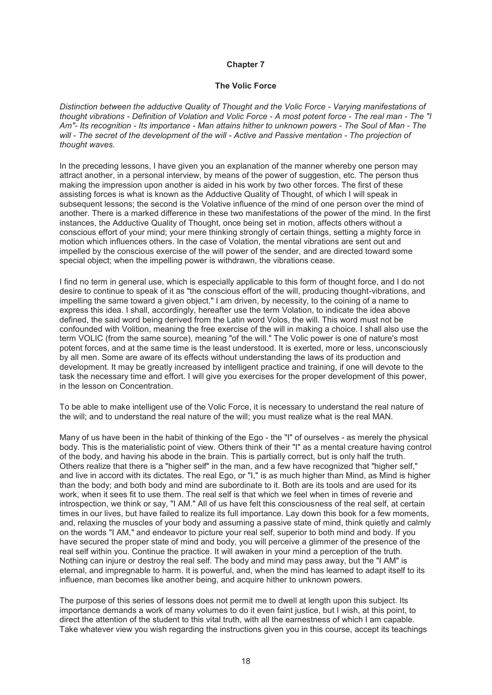#### **The Volic Force**

*Distinction between the adductive Quality of Thought and the Volic Force - Varying manifestations of thought vibrations - Definition of Volation and Volic Force - A most potent force - The real man - The "I Am"- Its recognition - Its importance - Man attains hither to unknown powers - The Soul of Man - The will - The secret of the development of the will - Active and Passive mentation - The projection of thought waves.* 

In the preceding lessons, I have given you an explanation of the manner whereby one person may attract another, in a personal interview, by means of the power of suggestion, etc. The person thus making the impression upon another is aided in his work by two other forces. The first of these assisting forces is what is known as the Adductive Quality of Thought, of which I will speak in subsequent lessons; the second is the Volative influence of the mind of one person over the mind of another. There is a marked difference in these two manifestations of the power of the mind. In the first instances, the Adductive Quality of Thought, once being set in motion, affects others without a conscious effort of your mind; your mere thinking strongly of certain things, setting a mighty force in motion which influences others. In the case of Volation, the mental vibrations are sent out and impelled by the conscious exercise of the will power of the sender, and are directed toward some special object; when the impelling power is withdrawn, the vibrations cease.

I find no term in general use, which is especially applicable to this form of thought force, and I do not desire to continue to speak of it as "the conscious effort of the will, producing thought-vibrations, and impelling the same toward a given object." I am driven, by necessity, to the coining of a name to express this idea. I shall, accordingly, hereafter use the term Volation, to indicate the idea above defined, the said word being derived from the Latin word Volos, the will. This word must not be confounded with Volition, meaning the free exercise of the will in making a choice. I shall also use the term VOLIC (from the same source), meaning "of the will." The Volic power is one of nature's most potent forces, and at the same time is the least understood. It is exerted, more or less, unconsciously by all men. Some are aware of its effects without understanding the laws of its production and development. It may be greatly increased by intelligent practice and training, if one will devote to the task the necessary time and effort. I will give you exercises for the proper development of this power, in the lesson on Concentration.

To be able to make intelligent use of the Volic Force, it is necessary to understand the real nature of the will; and to understand the real nature of the will; you must realize what is the real MAN.

Many of us have been in the habit of thinking of the Ego - the "I" of ourselves - as merely the physical body. This is the materialistic point of view. Others think of their "I" as a mental creature having control of the body, and having his abode in the brain. This is partially correct, but is only half the truth. Others realize that there is a "higher self" in the man, and a few have recognized that "higher self." and live in accord with its dictates. The real Ego, or "I," is as much higher than Mind, as Mind is higher than the body; and both body and mind are subordinate to it. Both are its tools and are used for its work, when it sees fit to use them. The real self is that which we feel when in times of reverie and introspection, we think or say, "I AM." All of us have felt this consciousness of the real self, at certain times in our lives, but have failed to realize its full importance. Lay down this book for a few moments, and, relaxing the muscles of your body and assuming a passive state of mind, think quietly and calmly on the words "I AM," and endeavor to picture your real self, superior to both mind and body. If you have secured the proper state of mind and body, you will perceive a glimmer of the presence of the real self within you. Continue the practice. It will awaken in your mind a perception of the truth. Nothing can injure or destroy the real self. The body and mind may pass away, but the "I AM" is eternal, and impregnable to harm. It is powerful, and, when the mind has learned to adapt itself to its influence, man becomes like another being, and acquire hither to unknown powers.

The purpose of this series of lessons does not permit me to dwell at length upon this subject. Its importance demands a work of many volumes to do it even faint justice, but I wish, at this point, to direct the attention of the student to this vital truth, with all the earnestness of which I am capable. Take whatever view you wish regarding the instructions given you in this course, accept its teachings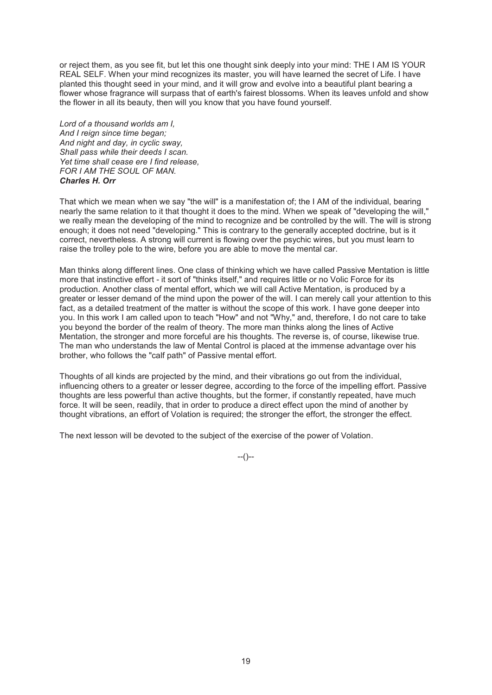or reject them, as you see fit, but let this one thought sink deeply into your mind: THE I AM IS YOUR REAL SELF. When your mind recognizes its master, you will have learned the secret of Life. I have planted this thought seed in your mind, and it will grow and evolve into a beautiful plant bearing a flower whose fragrance will surpass that of earth's fairest blossoms. When its leaves unfold and show the flower in all its beauty, then will you know that you have found yourself.

*Lord of a thousand worlds am I, And I reign since time began; And night and day, in cyclic sway, Shall pass while their deeds I scan. Yet time shall cease ere I find release, FOR I AM THE SOUL OF MAN. Charles H. Orr* 

That which we mean when we say "the will" is a manifestation of; the I AM of the individual, bearing nearly the same relation to it that thought it does to the mind. When we speak of "developing the will," we really mean the developing of the mind to recognize and be controlled by the will. The will is strong enough; it does not need "developing." This is contrary to the generally accepted doctrine, but is it correct, nevertheless. A strong will current is flowing over the psychic wires, but you must learn to raise the trolley pole to the wire, before you are able to move the mental car.

Man thinks along different lines. One class of thinking which we have called Passive Mentation is little more that instinctive effort - it sort of "thinks itself," and requires little or no Volic Force for its production. Another class of mental effort, which we will call Active Mentation, is produced by a greater or lesser demand of the mind upon the power of the will. I can merely call your attention to this fact, as a detailed treatment of the matter is without the scope of this work. I have gone deeper into you. In this work I am called upon to teach "How" and not "Why," and, therefore, I do not care to take you beyond the border of the realm of theory. The more man thinks along the lines of Active Mentation, the stronger and more forceful are his thoughts. The reverse is, of course, likewise true. The man who understands the law of Mental Control is placed at the immense advantage over his brother, who follows the "calf path" of Passive mental effort.

Thoughts of all kinds are projected by the mind, and their vibrations go out from the individual, influencing others to a greater or lesser degree, according to the force of the impelling effort. Passive thoughts are less powerful than active thoughts, but the former, if constantly repeated, have much force. It will be seen, readily, that in order to produce a direct effect upon the mind of another by thought vibrations, an effort of Volation is required; the stronger the effort, the stronger the effect.

The next lesson will be devoted to the subject of the exercise of the power of Volation.

 $-(-)$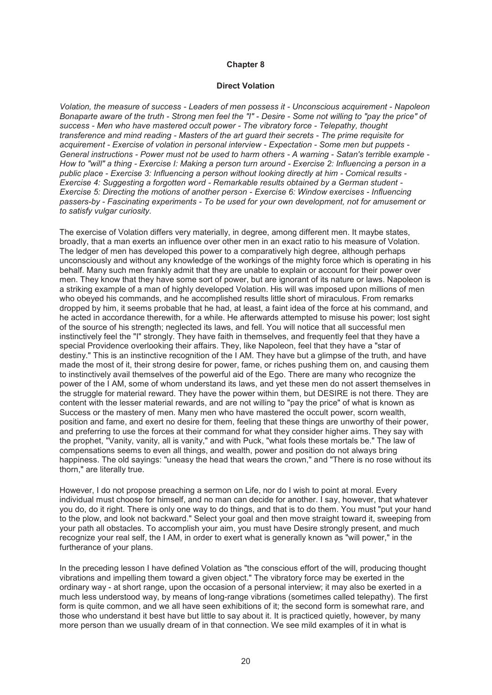#### **Direct Volation**

*Volation, the measure of success - Leaders of men possess it - Unconscious acquirement - Napoleon Bonaparte aware of the truth - Strong men feel the "I" - Desire - Some not willing to "pay the price" of success - Men who have mastered occult power - The vibratory force - Telepathy, thought transference and mind reading - Masters of the art guard their secrets - The prime requisite for acquirement - Exercise of volation in personal interview - Expectation - Some men but puppets - General instructions - Power must not be used to harm others - A warning - Satan's terrible example - How to "will" a thing - Exercise I: Making a person turn around - Exercise 2: Influencing a person in a public place - Exercise 3: Influencing a person without looking directly at him - Comical results - Exercise 4: Suggesting a forgotten word - Remarkable results obtained by a German student - Exercise 5: Directing the motions of another person - Exercise 6: Window exercises - Influencing passers-by - Fascinating experiments - To be used for your own development, not for amusement or to satisfy vulgar curiosity.* 

The exercise of Volation differs very materially, in degree, among different men. It maybe states, broadly, that a man exerts an influence over other men in an exact ratio to his measure of Volation. The ledger of men has developed this power to a comparatively high degree, although perhaps unconsciously and without any knowledge of the workings of the mighty force which is operating in his behalf. Many such men frankly admit that they are unable to explain or account for their power over men. They know that they have some sort of power, but are ignorant of its nature or laws. Napoleon is a striking example of a man of highly developed Volation. His will was imposed upon millions of men who obeyed his commands, and he accomplished results little short of miraculous. From remarks dropped by him, it seems probable that he had, at least, a faint idea of the force at his command, and he acted in accordance therewith, for a while. He afterwards attempted to misuse his power; lost sight of the source of his strength; neglected its laws, and fell. You will notice that all successful men instinctively feel the "I" strongly. They have faith in themselves, and frequently feel that they have a special Providence overlooking their affairs. They, like Napoleon, feel that they have a "star of destiny." This is an instinctive recognition of the I AM. They have but a glimpse of the truth, and have made the most of it, their strong desire for power, fame, or riches pushing them on, and causing them to instinctively avail themselves of the powerful aid of the Ego. There are many who recognize the power of the I AM, some of whom understand its laws, and yet these men do not assert themselves in the struggle for material reward. They have the power within them, but DESIRE is not there. They are content with the lesser material rewards, and are not willing to "pay the price" of what is known as Success or the mastery of men. Many men who have mastered the occult power, scorn wealth, position and fame, and exert no desire for them, feeling that these things are unworthy of their power, and preferring to use the forces at their command for what they consider higher aims. They say with the prophet, "Vanity, vanity, all is vanity," and with Puck, "what fools these mortals be." The law of compensations seems to even all things, and wealth, power and position do not always bring happiness. The old sayings: "uneasy the head that wears the crown," and "There is no rose without its thorn," are literally true.

However, I do not propose preaching a sermon on Life, nor do I wish to point at moral. Every individual must choose for himself, and no man can decide for another. I say, however, that whatever you do, do it right. There is only one way to do things, and that is to do them. You must "put your hand to the plow, and look not backward." Select your goal and then move straight toward it, sweeping from your path all obstacles. To accomplish your aim, you must have Desire strongly present, and much recognize your real self, the I AM, in order to exert what is generally known as "will power," in the furtherance of your plans.

In the preceding lesson I have defined Volation as "the conscious effort of the will, producing thought vibrations and impelling them toward a given object." The vibratory force may be exerted in the ordinary way - at short range, upon the occasion of a personal interview; it may also be exerted in a much less understood way, by means of long-range vibrations (sometimes called telepathy). The first form is quite common, and we all have seen exhibitions of it; the second form is somewhat rare, and those who understand it best have but little to say about it. It is practiced quietly, however, by many more person than we usually dream of in that connection. We see mild examples of it in what is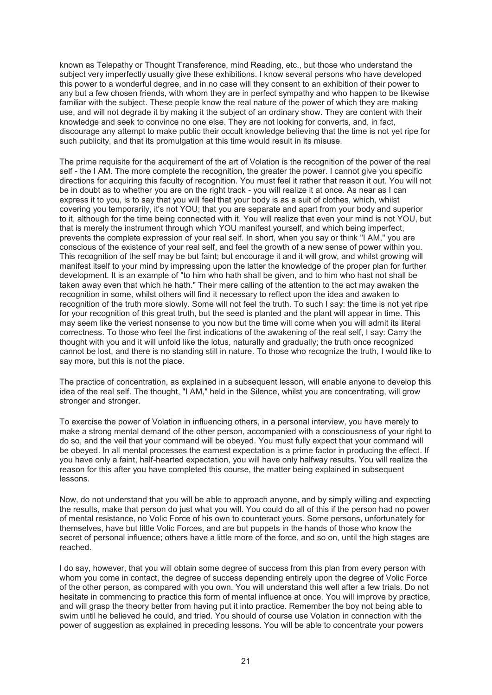known as Telepathy or Thought Transference, mind Reading, etc., but those who understand the subject very imperfectly usually give these exhibitions. I know several persons who have developed this power to a wonderful degree, and in no case will they consent to an exhibition of their power to any but a few chosen friends, with whom they are in perfect sympathy and who happen to be likewise familiar with the subject. These people know the real nature of the power of which they are making use, and will not degrade it by making it the subject of an ordinary show. They are content with their knowledge and seek to convince no one else. They are not looking for converts, and, in fact, discourage any attempt to make public their occult knowledge believing that the time is not yet ripe for such publicity, and that its promulgation at this time would result in its misuse.

The prime requisite for the acquirement of the art of Volation is the recognition of the power of the real self - the I AM. The more complete the recognition, the greater the power. I cannot give you specific directions for acquiring this faculty of recognition. You must feel it rather that reason it out. You will not be in doubt as to whether you are on the right track - you will realize it at once. As near as I can express it to you, is to say that you will feel that your body is as a suit of clothes, which, whilst covering you temporarily, it's not YOU; that you are separate and apart from your body and superior to it, although for the time being connected with it. You will realize that even your mind is not YOU, but that is merely the instrument through which YOU manifest yourself, and which being imperfect, prevents the complete expression of your real self. In short, when you say or think "I AM," you are conscious of the existence of your real self, and feel the growth of a new sense of power within you. This recognition of the self may be but faint; but encourage it and it will grow, and whilst growing will manifest itself to your mind by impressing upon the latter the knowledge of the proper plan for further development. It is an example of "to him who hath shall be given, and to him who hast not shall be taken away even that which he hath." Their mere calling of the attention to the act may awaken the recognition in some, whilst others will find it necessary to reflect upon the idea and awaken to recognition of the truth more slowly. Some will not feel the truth. To such I say: the time is not yet ripe for your recognition of this great truth, but the seed is planted and the plant will appear in time. This may seem like the veriest nonsense to you now but the time will come when you will admit its literal correctness. To those who feel the first indications of the awakening of the real self, I say: Carry the thought with you and it will unfold like the lotus, naturally and gradually; the truth once recognized cannot be lost, and there is no standing still in nature. To those who recognize the truth, I would like to say more, but this is not the place.

The practice of concentration, as explained in a subsequent lesson, will enable anyone to develop this idea of the real self. The thought, "I AM," held in the Silence, whilst you are concentrating, will grow stronger and stronger.

To exercise the power of Volation in influencing others, in a personal interview, you have merely to make a strong mental demand of the other person, accompanied with a consciousness of your right to do so, and the veil that your command will be obeyed. You must fully expect that your command will be obeyed. In all mental processes the earnest expectation is a prime factor in producing the effect. If you have only a faint, half-hearted expectation, you will have only halfway results. You will realize the reason for this after you have completed this course, the matter being explained in subsequent lessons.

Now, do not understand that you will be able to approach anyone, and by simply willing and expecting the results, make that person do just what you will. You could do all of this if the person had no power of mental resistance, no Volic Force of his own to counteract yours. Some persons, unfortunately for themselves, have but little Volic Forces, and are but puppets in the hands of those who know the secret of personal influence; others have a little more of the force, and so on, until the high stages are reached.

I do say, however, that you will obtain some degree of success from this plan from every person with whom you come in contact, the degree of success depending entirely upon the degree of Volic Force of the other person, as compared with you own. You will understand this well after a few trials. Do not hesitate in commencing to practice this form of mental influence at once. You will improve by practice, and will grasp the theory better from having put it into practice. Remember the boy not being able to swim until he believed he could, and tried. You should of course use Volation in connection with the power of suggestion as explained in preceding lessons. You will be able to concentrate your powers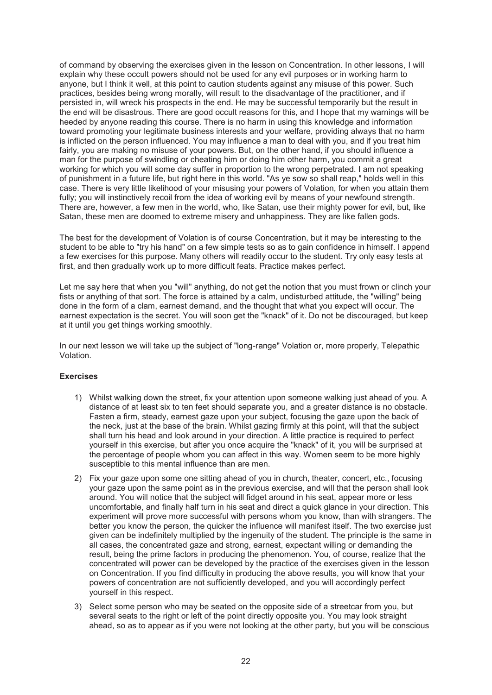of command by observing the exercises given in the lesson on Concentration. In other lessons, I will explain why these occult powers should not be used for any evil purposes or in working harm to anyone, but I think it well, at this point to caution students against any misuse of this power. Such practices, besides being wrong morally, will result to the disadvantage of the practitioner, and if persisted in, will wreck his prospects in the end. He may be successful temporarily but the result in the end will be disastrous. There are good occult reasons for this, and I hope that my warnings will be heeded by anyone reading this course. There is no harm in using this knowledge and information toward promoting your legitimate business interests and your welfare, providing always that no harm is inflicted on the person influenced. You may influence a man to deal with you, and if you treat him fairly, you are making no misuse of your powers. But, on the other hand, if you should influence a man for the purpose of swindling or cheating him or doing him other harm, you commit a great working for which you will some day suffer in proportion to the wrong perpetrated. I am not speaking of punishment in a future life, but right here in this world. "As ye sow so shall reap," holds well in this case. There is very little likelihood of your misusing your powers of Volation, for when you attain them fully; you will instinctively recoil from the idea of working evil by means of your newfound strength. There are, however, a few men in the world, who, like Satan, use their mighty power for evil, but, like Satan, these men are doomed to extreme misery and unhappiness. They are like fallen gods.

The best for the development of Volation is of course Concentration, but it may be interesting to the student to be able to "try his hand" on a few simple tests so as to gain confidence in himself. I append a few exercises for this purpose. Many others will readily occur to the student. Try only easy tests at first, and then gradually work up to more difficult feats. Practice makes perfect.

Let me say here that when you "will" anything, do not get the notion that you must frown or clinch your fists or anything of that sort. The force is attained by a calm, undisturbed attitude, the "willing" being done in the form of a clam, earnest demand, and the thought that what you expect will occur. The earnest expectation is the secret. You will soon get the "knack" of it. Do not be discouraged, but keep at it until you get things working smoothly.

In our next lesson we will take up the subject of "long-range" Volation or, more properly, Telepathic Volation.

## **Exercises**

- 1) Whilst walking down the street, fix your attention upon someone walking just ahead of you. A distance of at least six to ten feet should separate you, and a greater distance is no obstacle. Fasten a firm, steady, earnest gaze upon your subject, focusing the gaze upon the back of the neck, just at the base of the brain. Whilst gazing firmly at this point, will that the subject shall turn his head and look around in your direction. A little practice is required to perfect yourself in this exercise, but after you once acquire the "knack" of it, you will be surprised at the percentage of people whom you can affect in this way. Women seem to be more highly susceptible to this mental influence than are men.
- 2) Fix your gaze upon some one sitting ahead of you in church, theater, concert, etc., focusing your gaze upon the same point as in the previous exercise, and will that the person shall look around. You will notice that the subject will fidget around in his seat, appear more or less uncomfortable, and finally half turn in his seat and direct a quick glance in your direction. This experiment will prove more successful with persons whom you know, than with strangers. The better you know the person, the quicker the influence will manifest itself. The two exercise just given can be indefinitely multiplied by the ingenuity of the student. The principle is the same in all cases, the concentrated gaze and strong, earnest, expectant willing or demanding the result, being the prime factors in producing the phenomenon. You, of course, realize that the concentrated will power can be developed by the practice of the exercises given in the lesson on Concentration. If you find difficulty in producing the above results, you will know that your powers of concentration are not sufficiently developed, and you will accordingly perfect yourself in this respect.
- 3) Select some person who may be seated on the opposite side of a streetcar from you, but several seats to the right or left of the point directly opposite you. You may look straight ahead, so as to appear as if you were not looking at the other party, but you will be conscious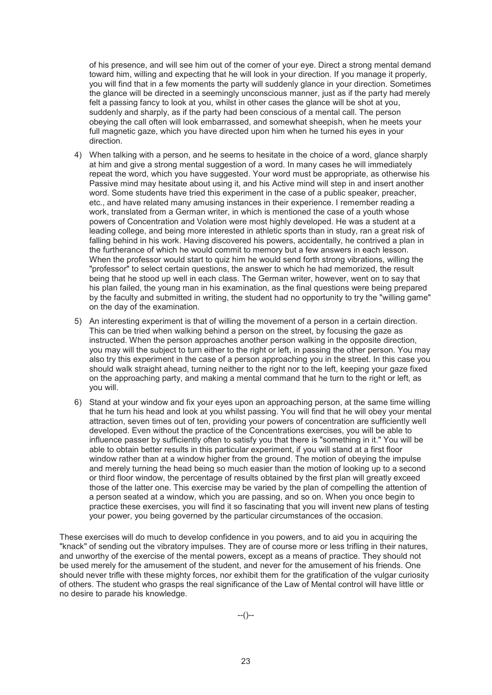of his presence, and will see him out of the corner of your eye. Direct a strong mental demand toward him, willing and expecting that he will look in your direction. If you manage it properly, you will find that in a few moments the party will suddenly glance in your direction. Sometimes the glance will be directed in a seemingly unconscious manner, just as if the party had merely felt a passing fancy to look at you, whilst in other cases the glance will be shot at you, suddenly and sharply, as if the party had been conscious of a mental call. The person obeying the call often will look embarrassed, and somewhat sheepish, when he meets your full magnetic gaze, which you have directed upon him when he turned his eyes in your direction.

- 4) When talking with a person, and he seems to hesitate in the choice of a word, glance sharply at him and give a strong mental suggestion of a word. In many cases he will immediately repeat the word, which you have suggested. Your word must be appropriate, as otherwise his Passive mind may hesitate about using it, and his Active mind will step in and insert another word. Some students have tried this experiment in the case of a public speaker, preacher, etc., and have related many amusing instances in their experience. I remember reading a work, translated from a German writer, in which is mentioned the case of a youth whose powers of Concentration and Volation were most highly developed. He was a student at a leading college, and being more interested in athletic sports than in study, ran a great risk of falling behind in his work. Having discovered his powers, accidentally, he contrived a plan in the furtherance of which he would commit to memory but a few answers in each lesson. When the professor would start to quiz him he would send forth strong vibrations, willing the "professor" to select certain questions, the answer to which he had memorized, the result being that he stood up well in each class. The German writer, however, went on to say that his plan failed, the young man in his examination, as the final questions were being prepared by the faculty and submitted in writing, the student had no opportunity to try the "willing game" on the day of the examination.
- 5) An interesting experiment is that of willing the movement of a person in a certain direction. This can be tried when walking behind a person on the street, by focusing the gaze as instructed. When the person approaches another person walking in the opposite direction, you may will the subject to turn either to the right or left, in passing the other person. You may also try this experiment in the case of a person approaching you in the street. In this case you should walk straight ahead, turning neither to the right nor to the left, keeping your gaze fixed on the approaching party, and making a mental command that he turn to the right or left, as you will.
- 6) Stand at your window and fix your eyes upon an approaching person, at the same time willing that he turn his head and look at you whilst passing. You will find that he will obey your mental attraction, seven times out of ten, providing your powers of concentration are sufficiently well developed. Even without the practice of the Concentrations exercises, you will be able to influence passer by sufficiently often to satisfy you that there is "something in it." You will be able to obtain better results in this particular experiment, if you will stand at a first floor window rather than at a window higher from the ground. The motion of obeying the impulse and merely turning the head being so much easier than the motion of looking up to a second or third floor window, the percentage of results obtained by the first plan will greatly exceed those of the latter one. This exercise may be varied by the plan of compelling the attention of a person seated at a window, which you are passing, and so on. When you once begin to practice these exercises, you will find it so fascinating that you will invent new plans of testing your power, you being governed by the particular circumstances of the occasion.

These exercises will do much to develop confidence in you powers, and to aid you in acquiring the "knack" of sending out the vibratory impulses. They are of course more or less trifling in their natures, and unworthy of the exercise of the mental powers, except as a means of practice. They should not be used merely for the amusement of the student, and never for the amusement of his friends. One should never trifle with these mighty forces, nor exhibit them for the gratification of the vulgar curiosity of others. The student who grasps the real significance of the Law of Mental control will have little or no desire to parade his knowledge.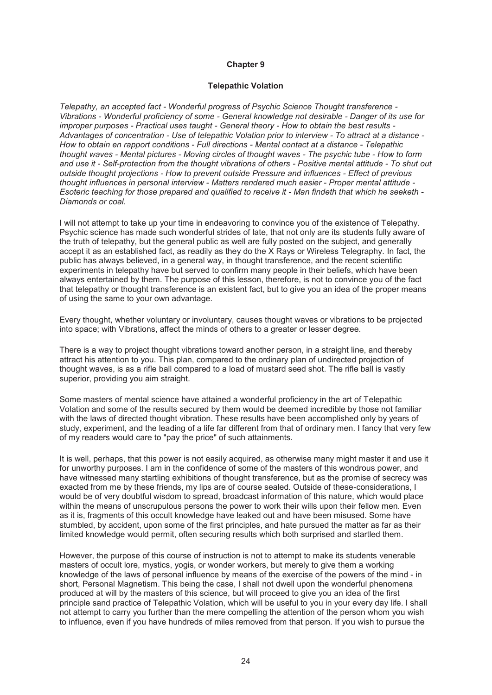#### **Telepathic Volation**

*Telepathy, an accepted fact - Wonderful progress of Psychic Science Thought transference - Vibrations - Wonderful proficiency of some - General knowledge not desirable - Danger of its use for improper purposes - Practical uses taught - General theory - How to obtain the best results - Advantages of concentration - Use of telepathic Volation prior to interview - To attract at a distance - How to obtain en rapport conditions - Full directions - Mental contact at a distance - Telepathic thought waves - Mental pictures - Moving circles of thought waves - The psychic tube - How to form and use it - Self-protection from the thought vibrations of others - Positive mental attitude - To shut out outside thought projections - How to prevent outside Pressure and influences - Effect of previous thought influences in personal interview - Matters rendered much easier - Proper mental attitude - Esoteric teaching for those prepared and qualified to receive it - Man findeth that which he seeketh - Diamonds or coal.* 

I will not attempt to take up your time in endeavoring to convince you of the existence of Telepathy. Psychic science has made such wonderful strides of late, that not only are its students fully aware of the truth of telepathy, but the general public as well are fully posted on the subject, and generally accept it as an established fact, as readily as they do the X Rays or Wireless Telegraphy. In fact, the public has always believed, in a general way, in thought transference, and the recent scientific experiments in telepathy have but served to confirm many people in their beliefs, which have been always entertained by them. The purpose of this lesson, therefore, is not to convince you of the fact that telepathy or thought transference is an existent fact, but to give you an idea of the proper means of using the same to your own advantage.

Every thought, whether voluntary or involuntary, causes thought waves or vibrations to be projected into space; with Vibrations, affect the minds of others to a greater or lesser degree.

There is a way to project thought vibrations toward another person, in a straight line, and thereby attract his attention to you. This plan, compared to the ordinary plan of undirected projection of thought waves, is as a rifle ball compared to a load of mustard seed shot. The rifle ball is vastly superior, providing you aim straight.

Some masters of mental science have attained a wonderful proficiency in the art of Telepathic Volation and some of the results secured by them would be deemed incredible by those not familiar with the laws of directed thought vibration. These results have been accomplished only by years of study, experiment, and the leading of a life far different from that of ordinary men. I fancy that very few of my readers would care to "pay the price" of such attainments.

It is well, perhaps, that this power is not easily acquired, as otherwise many might master it and use it for unworthy purposes. I am in the confidence of some of the masters of this wondrous power, and have witnessed many startling exhibitions of thought transference, but as the promise of secrecy was exacted from me by these friends, my lips are of course sealed. Outside of these-considerations, I would be of very doubtful wisdom to spread, broadcast information of this nature, which would place within the means of unscrupulous persons the power to work their wills upon their fellow men. Even as it is, fragments of this occult knowledge have leaked out and have been misused. Some have stumbled, by accident, upon some of the first principles, and hate pursued the matter as far as their limited knowledge would permit, often securing results which both surprised and startled them.

However, the purpose of this course of instruction is not to attempt to make its students venerable masters of occult lore, mystics, yogis, or wonder workers, but merely to give them a working knowledge of the laws of personal influence by means of the exercise of the powers of the mind - in short, Personal Magnetism. This being the case, I shall not dwell upon the wonderful phenomena produced at will by the masters of this science, but will proceed to give you an idea of the first principle sand practice of Telepathic Volation, which will be useful to you in your every day life. I shall not attempt to carry you further than the mere compelling the attention of the person whom you wish to influence, even if you have hundreds of miles removed from that person. If you wish to pursue the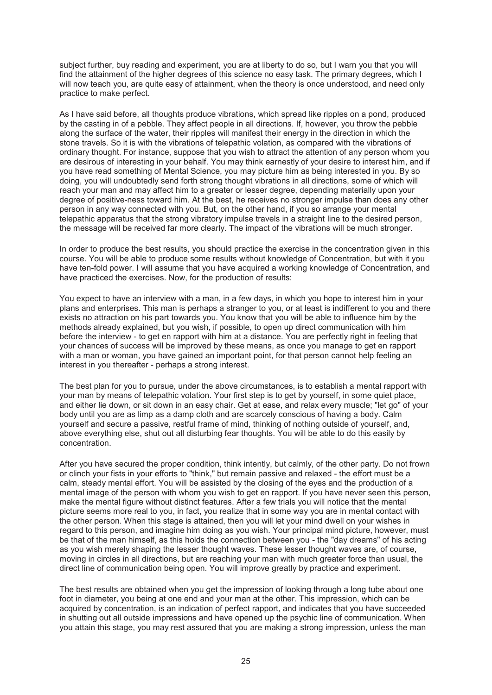subject further, buy reading and experiment, you are at liberty to do so, but I warn you that you will find the attainment of the higher degrees of this science no easy task. The primary degrees, which I will now teach you, are quite easy of attainment, when the theory is once understood, and need only practice to make perfect.

As I have said before, all thoughts produce vibrations, which spread like ripples on a pond, produced by the casting in of a pebble. They affect people in all directions. If, however, you throw the pebble along the surface of the water, their ripples will manifest their energy in the direction in which the stone travels. So it is with the vibrations of telepathic volation, as compared with the vibrations of ordinary thought. For instance, suppose that you wish to attract the attention of any person whom you are desirous of interesting in your behalf. You may think earnestly of your desire to interest him, and if you have read something of Mental Science, you may picture him as being interested in you. By so doing, you will undoubtedly send forth strong thought vibrations in all directions, some of which will reach your man and may affect him to a greater or lesser degree, depending materially upon your degree of positive-ness toward him. At the best, he receives no stronger impulse than does any other person in any way connected with you. But, on the other hand, if you so arrange your mental telepathic apparatus that the strong vibratory impulse travels in a straight line to the desired person, the message will be received far more clearly. The impact of the vibrations will be much stronger.

In order to produce the best results, you should practice the exercise in the concentration given in this course. You will be able to produce some results without knowledge of Concentration, but with it you have ten-fold power. I will assume that you have acquired a working knowledge of Concentration, and have practiced the exercises. Now, for the production of results:

You expect to have an interview with a man, in a few days, in which you hope to interest him in your plans and enterprises. This man is perhaps a stranger to you, or at least is indifferent to you and there exists no attraction on his part towards you. You know that you will be able to influence him by the methods already explained, but you wish, if possible, to open up direct communication with him before the interview - to get en rapport with him at a distance. You are perfectly right in feeling that your chances of success will be improved by these means, as once you manage to get en rapport with a man or woman, you have gained an important point, for that person cannot help feeling an interest in you thereafter - perhaps a strong interest.

The best plan for you to pursue, under the above circumstances, is to establish a mental rapport with your man by means of telepathic volation. Your first step is to get by yourself, in some quiet place, and either lie down, or sit down in an easy chair. Get at ease, and relax every muscle; "let go" of your body until you are as limp as a damp cloth and are scarcely conscious of having a body. Calm yourself and secure a passive, restful frame of mind, thinking of nothing outside of yourself, and, above everything else, shut out all disturbing fear thoughts. You will be able to do this easily by concentration.

After you have secured the proper condition, think intently, but calmly, of the other party. Do not frown or clinch your fists in your efforts to "think," but remain passive and relaxed - the effort must be a calm, steady mental effort. You will be assisted by the closing of the eyes and the production of a mental image of the person with whom you wish to get en rapport. If you have never seen this person, make the mental figure without distinct features. After a few trials you will notice that the mental picture seems more real to you, in fact, you realize that in some way you are in mental contact with the other person. When this stage is attained, then you will let your mind dwell on your wishes in regard to this person, and imagine him doing as you wish. Your principal mind picture, however, must be that of the man himself, as this holds the connection between you - the "day dreams" of his acting as you wish merely shaping the lesser thought waves. These lesser thought waves are, of course, moving in circles in all directions, but are reaching your man with much greater force than usual, the direct line of communication being open. You will improve greatly by practice and experiment.

The best results are obtained when you get the impression of looking through a long tube about one foot in diameter, you being at one end and your man at the other. This impression, which can be acquired by concentration, is an indication of perfect rapport, and indicates that you have succeeded in shutting out all outside impressions and have opened up the psychic line of communication. When you attain this stage, you may rest assured that you are making a strong impression, unless the man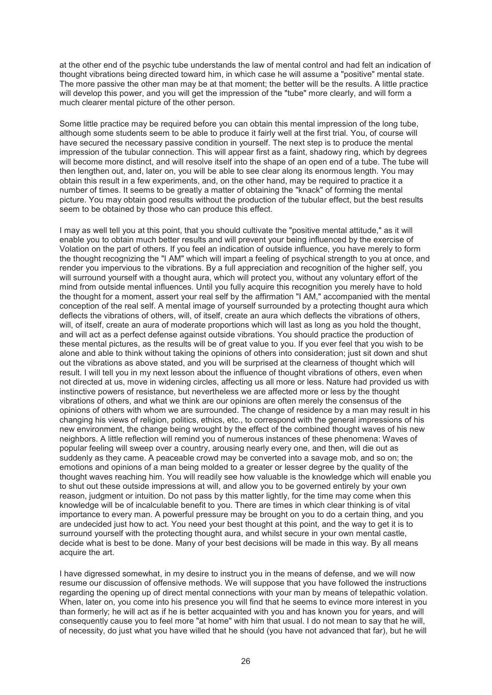at the other end of the psychic tube understands the law of mental control and had felt an indication of thought vibrations being directed toward him, in which case he will assume a "positive" mental state. The more passive the other man may be at that moment; the better will be the results. A little practice will develop this power, and you will get the impression of the "tube" more clearly, and will form a much clearer mental picture of the other person.

Some little practice may be required before you can obtain this mental impression of the long tube, although some students seem to be able to produce it fairly well at the first trial. You, of course will have secured the necessary passive condition in yourself. The next step is to produce the mental impression of the tubular connection. This will appear first as a faint, shadowy ring, which by degrees will become more distinct, and will resolve itself into the shape of an open end of a tube. The tube will then lengthen out, and, later on, you will be able to see clear along its enormous length. You may obtain this result in a few experiments, and, on the other hand, may be required to practice it a number of times. It seems to be greatly a matter of obtaining the "knack" of forming the mental picture. You may obtain good results without the production of the tubular effect, but the best results seem to be obtained by those who can produce this effect.

I may as well tell you at this point, that you should cultivate the "positive mental attitude," as it will enable you to obtain much better results and will prevent your being influenced by the exercise of Volation on the part of others. If you feel an indication of outside influence, you have merely to form the thought recognizing the "I AM" which will impart a feeling of psychical strength to you at once, and render you impervious to the vibrations. By a full appreciation and recognition of the higher self, you will surround yourself with a thought aura, which will protect you, without any voluntary effort of the mind from outside mental influences. Until you fully acquire this recognition you merely have to hold the thought for a moment, assert your real self by the affirmation "I AM," accompanied with the mental conception of the real self. A mental image of yourself surrounded by a protecting thought aura which deflects the vibrations of others, will, of itself, create an aura which deflects the vibrations of others, will, of itself, create an aura of moderate proportions which will last as long as you hold the thought, and will act as a perfect defense against outside vibrations. You should practice the production of these mental pictures, as the results will be of great value to you. If you ever feel that you wish to be alone and able to think without taking the opinions of others into consideration; just sit down and shut out the vibrations as above stated, and you will be surprised at the clearness of thought which will result. I will tell you in my next lesson about the influence of thought vibrations of others, even when not directed at us, move in widening circles, affecting us all more or less. Nature had provided us with instinctive powers of resistance, but nevertheless we are affected more or less by the thought vibrations of others, and what we think are our opinions are often merely the consensus of the opinions of others with whom we are surrounded. The change of residence by a man may result in his changing his views of religion, politics, ethics, etc., to correspond with the general impressions of his new environment, the change being wrought by the effect of the combined thought waves of his new neighbors. A little reflection will remind you of numerous instances of these phenomena: Waves of popular feeling will sweep over a country, arousing nearly every one, and then, will die out as suddenly as they came. A peaceable crowd may be converted into a savage mob, and so on; the emotions and opinions of a man being molded to a greater or lesser degree by the quality of the thought waves reaching him. You will readily see how valuable is the knowledge which will enable you to shut out these outside impressions at will, and allow you to be governed entirely by your own reason, judgment or intuition. Do not pass by this matter lightly, for the time may come when this knowledge will be of incalculable benefit to you. There are times in which clear thinking is of vital importance to every man. A powerful pressure may be brought on you to do a certain thing, and you are undecided just how to act. You need your best thought at this point, and the way to get it is to surround yourself with the protecting thought aura, and whilst secure in your own mental castle, decide what is best to be done. Many of your best decisions will be made in this way. By all means acquire the art.

I have digressed somewhat, in my desire to instruct you in the means of defense, and we will now resume our discussion of offensive methods. We will suppose that you have followed the instructions regarding the opening up of direct mental connections with your man by means of telepathic volation. When, later on, you come into his presence you will find that he seems to evince more interest in you than formerly; he will act as if he is better acquainted with you and has known you for years, and will consequently cause you to feel more "at home" with him that usual. I do not mean to say that he will, of necessity, do just what you have willed that he should (you have not advanced that far), but he will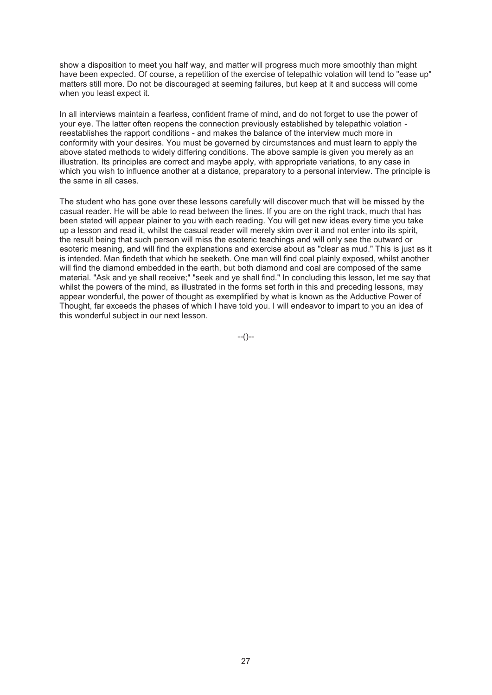show a disposition to meet you half way, and matter will progress much more smoothly than might have been expected. Of course, a repetition of the exercise of telepathic volation will tend to "ease up" matters still more. Do not be discouraged at seeming failures, but keep at it and success will come when you least expect it.

In all interviews maintain a fearless, confident frame of mind, and do not forget to use the power of your eye. The latter often reopens the connection previously established by telepathic volation reestablishes the rapport conditions - and makes the balance of the interview much more in conformity with your desires. You must be governed by circumstances and must learn to apply the above stated methods to widely differing conditions. The above sample is given you merely as an illustration. Its principles are correct and maybe apply, with appropriate variations, to any case in which you wish to influence another at a distance, preparatory to a personal interview. The principle is the same in all cases.

The student who has gone over these lessons carefully will discover much that will be missed by the casual reader. He will be able to read between the lines. If you are on the right track, much that has been stated will appear plainer to you with each reading. You will get new ideas every time you take up a lesson and read it, whilst the casual reader will merely skim over it and not enter into its spirit, the result being that such person will miss the esoteric teachings and will only see the outward or esoteric meaning, and will find the explanations and exercise about as "clear as mud." This is just as it is intended. Man findeth that which he seeketh. One man will find coal plainly exposed, whilst another will find the diamond embedded in the earth, but both diamond and coal are composed of the same material. "Ask and ye shall receive;" "seek and ye shall find." In concluding this lesson, let me say that whilst the powers of the mind, as illustrated in the forms set forth in this and preceding lessons, may appear wonderful, the power of thought as exemplified by what is known as the Adductive Power of Thought, far exceeds the phases of which I have told you. I will endeavor to impart to you an idea of this wonderful subject in our next lesson.

--()--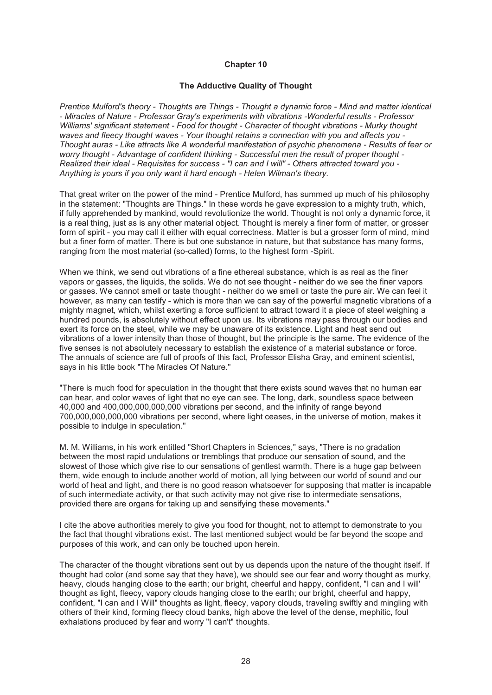#### **The Adductive Quality of Thought**

*Prentice Mulford's theory - Thoughts are Things - Thought a dynamic force - Mind and matter identical - Miracles of Nature - Professor Gray's experiments with vibrations -Wonderful results - Professor Williams' significant statement - Food for thought - Character of thought vibrations - Murky thought waves and fleecy thought waves - Your thought retains a connection with you and affects you - Thought auras - Like attracts like A wonderful manifestation of psychic phenomena - Results of fear or worry thought - Advantage of confident thinking - Successful men the result of proper thought - Realized their ideal - Requisites for success - "I can and I will" - Others attracted toward you - Anything is yours if you only want it hard enough - Helen Wilman's theory.* 

That great writer on the power of the mind - Prentice Mulford, has summed up much of his philosophy in the statement: "Thoughts are Things." In these words he gave expression to a mighty truth, which, if fully apprehended by mankind, would revolutionize the world. Thought is not only a dynamic force, it is a real thing, just as is any other material object. Thought is merely a finer form of matter, or grosser form of spirit - you may call it either with equal correctness. Matter is but a grosser form of mind, mind but a finer form of matter. There is but one substance in nature, but that substance has many forms, ranging from the most material (so-called) forms, to the highest form -Spirit.

When we think, we send out vibrations of a fine ethereal substance, which is as real as the finer vapors or gasses, the liquids, the solids. We do not see thought - neither do we see the finer vapors or gasses. We cannot smell or taste thought - neither do we smell or taste the pure air. We can feel it however, as many can testify - which is more than we can say of the powerful magnetic vibrations of a mighty magnet, which, whilst exerting a force sufficient to attract toward it a piece of steel weighing a hundred pounds, is absolutely without effect upon us. Its vibrations may pass through our bodies and exert its force on the steel, while we may be unaware of its existence. Light and heat send out vibrations of a lower intensity than those of thought, but the principle is the same. The evidence of the five senses is not absolutely necessary to establish the existence of a material substance or force. The annuals of science are full of proofs of this fact, Professor Elisha Gray, and eminent scientist, says in his little book "The Miracles Of Nature."

"There is much food for speculation in the thought that there exists sound waves that no human ear can hear, and color waves of light that no eye can see. The long, dark, soundless space between 40,000 and 400,000,000,000,000 vibrations per second, and the infinity of range beyond 700,000,000,000,000 vibrations per second, where light ceases, in the universe of motion, makes it possible to indulge in speculation."

M. M. Williams, in his work entitled "Short Chapters in Sciences," says, "There is no gradation between the most rapid undulations or tremblings that produce our sensation of sound, and the slowest of those which give rise to our sensations of gentlest warmth. There is a huge gap between them, wide enough to include another world of motion, all lying between our world of sound and our world of heat and light, and there is no good reason whatsoever for supposing that matter is incapable of such intermediate activity, or that such activity may not give rise to intermediate sensations, provided there are organs for taking up and sensifying these movements."

I cite the above authorities merely to give you food for thought, not to attempt to demonstrate to you the fact that thought vibrations exist. The last mentioned subject would be far beyond the scope and purposes of this work, and can only be touched upon herein.

The character of the thought vibrations sent out by us depends upon the nature of the thought itself. If thought had color (and some say that they have), we should see our fear and worry thought as murky, heavy, clouds hanging close to the earth; our bright, cheerful and happy, confident, "I can and I will' thought as light, fleecy, vapory clouds hanging close to the earth; our bright, cheerful and happy, confident, "I can and I Will" thoughts as light, fleecy, vapory clouds, traveling swiftly and mingling with others of their kind, forming fleecy cloud banks, high above the level of the dense, mephitic, foul exhalations produced by fear and worry "I can't" thoughts.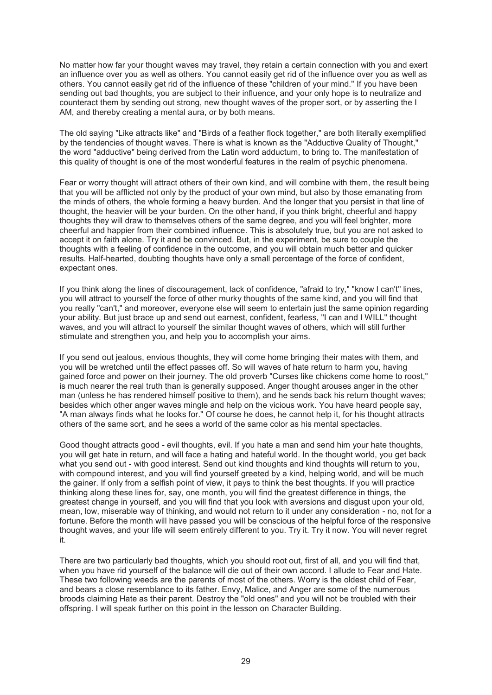No matter how far your thought waves may travel, they retain a certain connection with you and exert an influence over you as well as others. You cannot easily get rid of the influence over you as well as others. You cannot easily get rid of the influence of these "children of your mind." If you have been sending out bad thoughts, you are subject to their influence, and your only hope is to neutralize and counteract them by sending out strong, new thought waves of the proper sort, or by asserting the I AM, and thereby creating a mental aura, or by both means.

The old saying "Like attracts like" and "Birds of a feather flock together," are both literally exemplified by the tendencies of thought waves. There is what is known as the "Adductive Quality of Thought," the word "adductive" being derived from the Latin word adductum, to bring to. The manifestation of this quality of thought is one of the most wonderful features in the realm of psychic phenomena.

Fear or worry thought will attract others of their own kind, and will combine with them, the result being that you will be afflicted not only by the product of your own mind, but also by those emanating from the minds of others, the whole forming a heavy burden. And the longer that you persist in that line of thought, the heavier will be your burden. On the other hand, if you think bright, cheerful and happy thoughts they will draw to themselves others of the same degree, and you will feel brighter, more cheerful and happier from their combined influence. This is absolutely true, but you are not asked to accept it on faith alone. Try it and be convinced. But, in the experiment, be sure to couple the thoughts with a feeling of confidence in the outcome, and you will obtain much better and quicker results. Half-hearted, doubting thoughts have only a small percentage of the force of confident, expectant ones.

If you think along the lines of discouragement, lack of confidence, "afraid to try," "know I can't" lines, you will attract to yourself the force of other murky thoughts of the same kind, and you will find that you really "can't," and moreover, everyone else will seem to entertain just the same opinion regarding your ability. But just brace up and send out earnest, confident, fearless, "I can and I WILL" thought waves, and you will attract to yourself the similar thought waves of others, which will still further stimulate and strengthen you, and help you to accomplish your aims.

If you send out jealous, envious thoughts, they will come home bringing their mates with them, and you will be wretched until the effect passes off. So will waves of hate return to harm you, having gained force and power on their journey. The old proverb "Curses like chickens come home to roost," is much nearer the real truth than is generally supposed. Anger thought arouses anger in the other man (unless he has rendered himself positive to them), and he sends back his return thought waves; besides which other anger waves mingle and help on the vicious work. You have heard people say, "A man always finds what he looks for." Of course he does, he cannot help it, for his thought attracts others of the same sort, and he sees a world of the same color as his mental spectacles.

Good thought attracts good - evil thoughts, evil. If you hate a man and send him your hate thoughts, you will get hate in return, and will face a hating and hateful world. In the thought world, you get back what you send out - with good interest. Send out kind thoughts and kind thoughts will return to you, with compound interest, and you will find yourself greeted by a kind, helping world, and will be much the gainer. If only from a selfish point of view, it pays to think the best thoughts. If you will practice thinking along these lines for, say, one month, you will find the greatest difference in things, the greatest change in yourself, and you will find that you look with aversions and disgust upon your old, mean, low, miserable way of thinking, and would not return to it under any consideration - no, not for a fortune. Before the month will have passed you will be conscious of the helpful force of the responsive thought waves, and your life will seem entirely different to you. Try it. Try it now. You will never regret it.

There are two particularly bad thoughts, which you should root out, first of all, and you will find that, when you have rid yourself of the balance will die out of their own accord. I allude to Fear and Hate. These two following weeds are the parents of most of the others. Worry is the oldest child of Fear, and bears a close resemblance to its father. Envy, Malice, and Anger are some of the numerous broods claiming Hate as their parent. Destroy the "old ones" and you will not be troubled with their offspring. I will speak further on this point in the lesson on Character Building.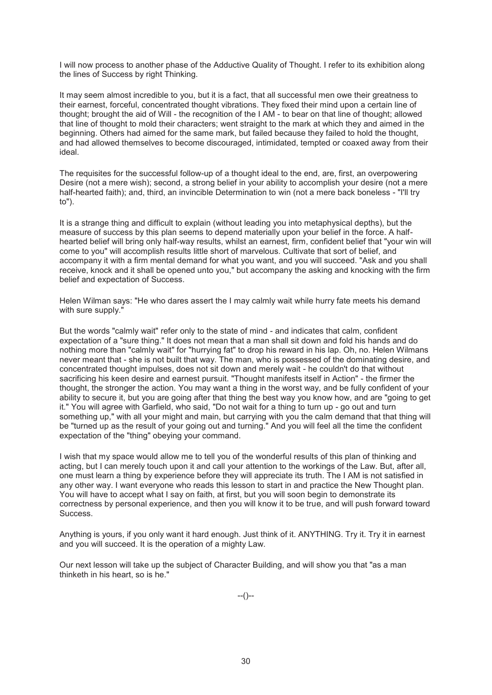I will now process to another phase of the Adductive Quality of Thought. I refer to its exhibition along the lines of Success by right Thinking.

It may seem almost incredible to you, but it is a fact, that all successful men owe their greatness to their earnest, forceful, concentrated thought vibrations. They fixed their mind upon a certain line of thought; brought the aid of Will - the recognition of the I AM - to bear on that line of thought; allowed that line of thought to mold their characters; went straight to the mark at which they and aimed in the beginning. Others had aimed for the same mark, but failed because they failed to hold the thought, and had allowed themselves to become discouraged, intimidated, tempted or coaxed away from their ideal.

The requisites for the successful follow-up of a thought ideal to the end, are, first, an overpowering Desire (not a mere wish); second, a strong belief in your ability to accomplish your desire (not a mere half-hearted faith); and, third, an invincible Determination to win (not a mere back boneless - "I'll try to").

It is a strange thing and difficult to explain (without leading you into metaphysical depths), but the measure of success by this plan seems to depend materially upon your belief in the force. A halfhearted belief will bring only half-way results, whilst an earnest, firm, confident belief that "your win will come to you" will accomplish results little short of marvelous. Cultivate that sort of belief, and accompany it with a firm mental demand for what you want, and you will succeed. "Ask and you shall receive, knock and it shall be opened unto you," but accompany the asking and knocking with the firm belief and expectation of Success.

Helen Wilman says: "He who dares assert the I may calmly wait while hurry fate meets his demand with sure supply."

But the words "calmly wait" refer only to the state of mind - and indicates that calm, confident expectation of a "sure thing." It does not mean that a man shall sit down and fold his hands and do nothing more than "calmly wait" for "hurrying fat" to drop his reward in his lap. Oh, no. Helen Wilmans never meant that - she is not built that way. The man, who is possessed of the dominating desire, and concentrated thought impulses, does not sit down and merely wait - he couldn't do that without sacrificing his keen desire and earnest pursuit. "Thought manifests itself in Action" - the firmer the thought, the stronger the action. You may want a thing in the worst way, and be fully confident of your ability to secure it, but you are going after that thing the best way you know how, and are "going to get it." You will agree with Garfield, who said, "Do not wait for a thing to turn up - go out and turn something up," with all your might and main, but carrying with you the calm demand that that thing will be "turned up as the result of your going out and turning." And you will feel all the time the confident expectation of the "thing" obeying your command.

I wish that my space would allow me to tell you of the wonderful results of this plan of thinking and acting, but I can merely touch upon it and call your attention to the workings of the Law. But, after all, one must learn a thing by experience before they will appreciate its truth. The I AM is not satisfied in any other way. I want everyone who reads this lesson to start in and practice the New Thought plan. You will have to accept what I say on faith, at first, but you will soon begin to demonstrate its correctness by personal experience, and then you will know it to be true, and will push forward toward Success.

Anything is yours, if you only want it hard enough. Just think of it. ANYTHING. Try it. Try it in earnest and you will succeed. It is the operation of a mighty Law.

Our next lesson will take up the subject of Character Building, and will show you that "as a man thinketh in his heart, so is he."

--()--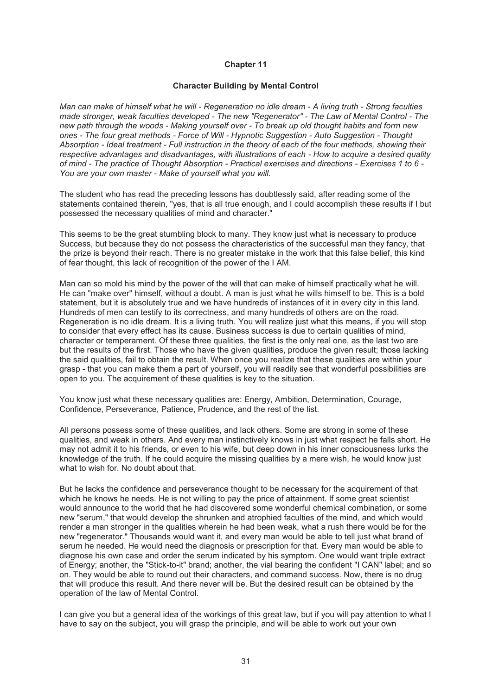#### **Character Building by Mental Control**

*Man can make of himself what he will - Regeneration no idle dream - A living truth - Strong faculties made stronger, weak faculties developed - The new "Regenerator" - The Law of Mental Control - The new path through the woods - Making yourself over - To break up old thought habits and form new ones - The four great methods - Force of Will - Hypnotic Suggestion - Auto Suggestion - Thought Absorption - Ideal treatment - Full instruction in the theory of each of the four methods, showing their respective advantages and disadvantages, with illustrations of each - How to acquire a desired quality of mind - The practice of Thought Absorption - Practical exercises and directions - Exercises 1 to 6 - You are your own master - Make of yourself what you will.* 

The student who has read the preceding lessons has doubtlessly said, after reading some of the statements contained therein, "yes, that is all true enough, and I could accomplish these results if I but possessed the necessary qualities of mind and character."

This seems to be the great stumbling block to many. They know just what is necessary to produce Success, but because they do not possess the characteristics of the successful man they fancy, that the prize is beyond their reach. There is no greater mistake in the work that this false belief, this kind of fear thought, this lack of recognition of the power of the I AM.

Man can so mold his mind by the power of the will that can make of himself practically what he will. He can "make over" himself, without a doubt. A man is just what he wills himself to be. This is a bold statement, but it is absolutely true and we have hundreds of instances of it in every city in this land. Hundreds of men can testify to its correctness, and many hundreds of others are on the road. Regeneration is no idle dream. It is a living truth. You will realize just what this means, if you will stop to consider that every effect has its cause. Business success is due to certain qualities of mind, character or temperament. Of these three qualities, the first is the only real one, as the last two are but the results of the first. Those who have the given qualities, produce the given result; those lacking the said qualities, fail to obtain the result. When once you realize that these qualities are within your grasp - that you can make them a part of yourself, you will readily see that wonderful possibilities are open to you. The acquirement of these qualities is key to the situation.

You know just what these necessary qualities are: Energy, Ambition, Determination, Courage, Confidence, Perseverance, Patience, Prudence, and the rest of the list.

All persons possess some of these qualities, and lack others. Some are strong in some of these qualities, and weak in others. And every man instinctively knows in just what respect he falls short. He may not admit it to his friends, or even to his wife, but deep down in his inner consciousness lurks the knowledge of the truth. If he could acquire the missing qualities by a mere wish, he would know just what to wish for. No doubt about that.

But he lacks the confidence and perseverance thought to be necessary for the acquirement of that which he knows he needs. He is not willing to pay the price of attainment. If some great scientist would announce to the world that he had discovered some wonderful chemical combination, or some new "serum," that would develop the shrunken and atrophied faculties of the mind, and which would render a man stronger in the qualities wherein he had been weak, what a rush there would be for the new "regenerator." Thousands would want it, and every man would be able to tell just what brand of serum he needed. He would need the diagnosis or prescription for that. Every man would be able to diagnose his own case and order the serum indicated by his symptom. One would want triple extract of Energy; another, the "Stick-to-it" brand; another, the vial bearing the confident "I CAN" label; and so on. They would be able to round out their characters, and command success. Now, there is no drug that will produce this result. And there never will be. But the desired result can be obtained by the operation of the law of Mental Control.

I can give you but a general idea of the workings of this great law, but if you will pay attention to what I have to say on the subject, you will grasp the principle, and will be able to work out your own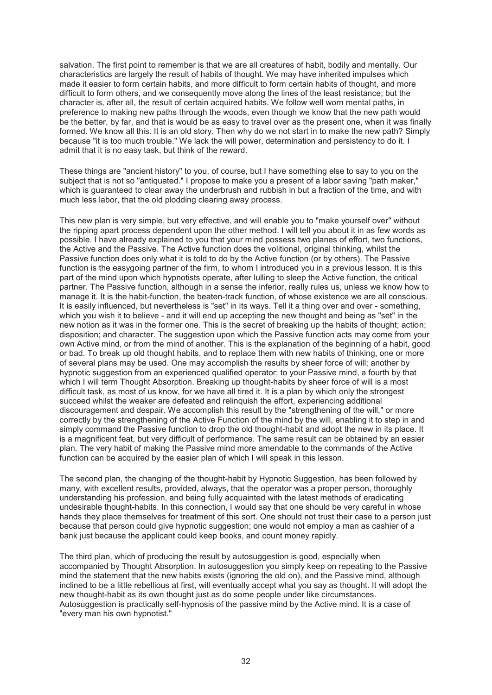salvation. The first point to remember is that we are all creatures of habit, bodily and mentally. Our characteristics are largely the result of habits of thought. We may have inherited impulses which made it easier to form certain habits, and more difficult to form certain habits of thought, and more difficult to form others, and we consequently move along the lines of the least resistance; but the character is, after all, the result of certain acquired habits. We follow well worn mental paths, in preference to making new paths through the woods, even though we know that the new path would be the better, by far, and that is would be as easy to travel over as the present one, when it was finally formed. We know all this. It is an old story. Then why do we not start in to make the new path? Simply because "it is too much trouble." We lack the will power, determination and persistency to do it. I admit that it is no easy task, but think of the reward.

These things are "ancient history" to you, of course, but I have something else to say to you on the subject that is not so "antiquated." I propose to make you a present of a labor saving "path maker," which is guaranteed to clear away the underbrush and rubbish in but a fraction of the time, and with much less labor, that the old plodding clearing away process.

This new plan is very simple, but very effective, and will enable you to "make yourself over" without the ripping apart process dependent upon the other method. I will tell you about it in as few words as possible. I have already explained to you that your mind possess two planes of effort, two functions, the Active and the Passive. The Active function does the volitional, original thinking, whilst the Passive function does only what it is told to do by the Active function (or by others). The Passive function is the easygoing partner of the firm, to whom I introduced you in a previous lesson. It is this part of the mind upon which hypnotists operate, after lulling to sleep the Active function, the critical partner. The Passive function, although in a sense the inferior, really rules us, unless we know how to manage it. It is the habit-function, the beaten-track function, of whose existence we are all conscious. It is easily influenced, but nevertheless is "set" in its ways. Tell it a thing over and over - something, which you wish it to believe - and it will end up accepting the new thought and being as "set" in the new notion as it was in the former one. This is the secret of breaking up the habits of thought; action; disposition; and character. The suggestion upon which the Passive function acts may come from your own Active mind, or from the mind of another. This is the explanation of the beginning of a habit, good or bad. To break up old thought habits, and to replace them with new habits of thinking, one or more of several plans may be used. One may accomplish the results by sheer force of will; another by hypnotic suggestion from an experienced qualified operator; to your Passive mind, a fourth by that which I will term Thought Absorption. Breaking up thought-habits by sheer force of will is a most difficult task, as most of us know, for we have all tired it. It is a plan by which only the strongest succeed whilst the weaker are defeated and relinquish the effort, experiencing additional discouragement and despair. We accomplish this result by the "strengthening of the will," or more correctly by the strengthening of the Active Function of the mind by the will, enabling it to step in and simply command the Passive function to drop the old thought-habit and adopt the new in its place. It is a magnificent feat, but very difficult of performance. The same result can be obtained by an easier plan. The very habit of making the Passive mind more amendable to the commands of the Active function can be acquired by the easier plan of which I will speak in this lesson.

The second plan, the changing of the thought-habit by Hypnotic Suggestion, has been followed by many, with excellent results, provided, always, that the operator was a proper person, thoroughly understanding his profession, and being fully acquainted with the latest methods of eradicating undesirable thought-habits. In this connection, I would say that one should be very careful in whose hands they place themselves for treatment of this sort. One should not trust their case to a person just because that person could give hypnotic suggestion; one would not employ a man as cashier of a bank just because the applicant could keep books, and count money rapidly.

The third plan, which of producing the result by autosuggestion is good, especially when accompanied by Thought Absorption. In autosuggestion you simply keep on repeating to the Passive mind the statement that the new habits exists (ignoring the old on), and the Passive mind, although inclined to be a little rebellious at first, will eventually accept what you say as thought. It will adopt the new thought-habit as its own thought just as do some people under like circumstances. Autosuggestion is practically self-hypnosis of the passive mind by the Active mind. It is a case of "every man his own hypnotist."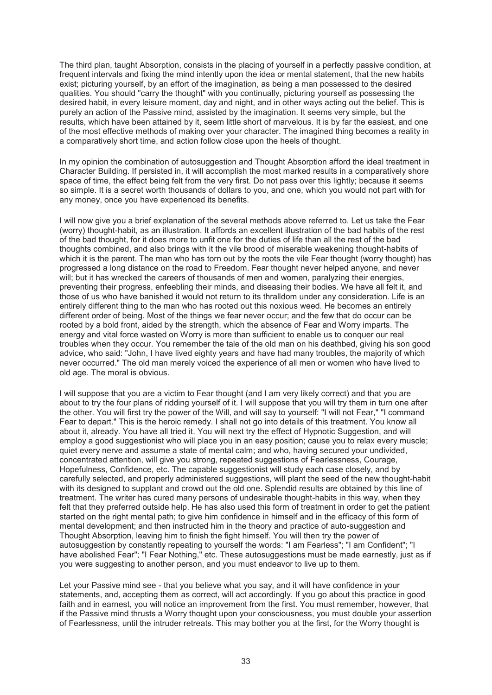The third plan, taught Absorption, consists in the placing of yourself in a perfectly passive condition, at frequent intervals and fixing the mind intently upon the idea or mental statement, that the new habits exist; picturing yourself, by an effort of the imagination, as being a man possessed to the desired qualities. You should "carry the thought" with you continually, picturing yourself as possessing the desired habit, in every leisure moment, day and night, and in other ways acting out the belief. This is purely an action of the Passive mind, assisted by the imagination. It seems very simple, but the results, which have been attained by it, seem little short of marvelous. It is by far the easiest, and one of the most effective methods of making over your character. The imagined thing becomes a reality in a comparatively short time, and action follow close upon the heels of thought.

In my opinion the combination of autosuggestion and Thought Absorption afford the ideal treatment in Character Building. If persisted in, it will accomplish the most marked results in a comparatively shore space of time, the effect being felt from the very first. Do not pass over this lightly; because it seems so simple. It is a secret worth thousands of dollars to you, and one, which you would not part with for any money, once you have experienced its benefits.

I will now give you a brief explanation of the several methods above referred to. Let us take the Fear (worry) thought-habit, as an illustration. It affords an excellent illustration of the bad habits of the rest of the bad thought, for it does more to unfit one for the duties of life than all the rest of the bad thoughts combined, and also brings with it the vile brood of miserable weakening thought-habits of which it is the parent. The man who has torn out by the roots the vile Fear thought (worry thought) has progressed a long distance on the road to Freedom. Fear thought never helped anyone, and never will; but it has wrecked the careers of thousands of men and women, paralyzing their energies, preventing their progress, enfeebling their minds, and diseasing their bodies. We have all felt it, and those of us who have banished it would not return to its thralldom under any consideration. Life is an entirely different thing to the man who has rooted out this noxious weed. He becomes an entirely different order of being. Most of the things we fear never occur; and the few that do occur can be rooted by a bold front, aided by the strength, which the absence of Fear and Worry imparts. The energy and vital force wasted on Worry is more than sufficient to enable us to conquer our real troubles when they occur. You remember the tale of the old man on his deathbed, giving his son good advice, who said: "John, I have lived eighty years and have had many troubles, the majority of which never occurred." The old man merely voiced the experience of all men or women who have lived to old age. The moral is obvious.

I will suppose that you are a victim to Fear thought (and I am very likely correct) and that you are about to try the four plans of ridding yourself of it. I will suppose that you will try them in turn one after the other. You will first try the power of the Will, and will say to yourself: "I will not Fear," "I command Fear to depart." This is the heroic remedy. I shall not go into details of this treatment. You know all about it, already. You have all tried it. You will next try the effect of Hypnotic Suggestion, and will employ a good suggestionist who will place you in an easy position; cause you to relax every muscle; quiet every nerve and assume a state of mental calm; and who, having secured your undivided, concentrated attention, will give you strong, repeated suggestions of Fearlessness, Courage, Hopefulness, Confidence, etc. The capable suggestionist will study each case closely, and by carefully selected, and properly administered suggestions, will plant the seed of the new thought-habit with its designed to supplant and crowd out the old one. Splendid results are obtained by this line of treatment. The writer has cured many persons of undesirable thought-habits in this way, when they felt that they preferred outside help. He has also used this form of treatment in order to get the patient started on the right mental path; to give him confidence in himself and in the efficacy of this form of mental development; and then instructed him in the theory and practice of auto-suggestion and Thought Absorption, leaving him to finish the fight himself. You will then try the power of autosuggestion by constantly repeating to yourself the words: "I am Fearless"; "I am Confident"; "I have abolished Fear"; "I Fear Nothing," etc. These autosuggestions must be made earnestly, just as if you were suggesting to another person, and you must endeavor to live up to them.

Let your Passive mind see - that you believe what you say, and it will have confidence in your statements, and, accepting them as correct, will act accordingly. If you go about this practice in good faith and in earnest, you will notice an improvement from the first. You must remember, however, that if the Passive mind thrusts a Worry thought upon your consciousness, you must double your assertion of Fearlessness, until the intruder retreats. This may bother you at the first, for the Worry thought is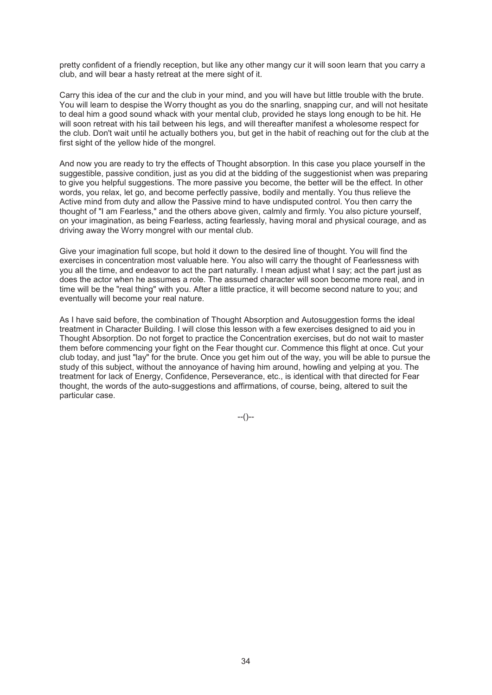pretty confident of a friendly reception, but like any other mangy cur it will soon learn that you carry a club, and will bear a hasty retreat at the mere sight of it.

Carry this idea of the cur and the club in your mind, and you will have but little trouble with the brute. You will learn to despise the Worry thought as you do the snarling, snapping cur, and will not hesitate to deal him a good sound whack with your mental club, provided he stays long enough to be hit. He will soon retreat with his tail between his legs, and will thereafter manifest a wholesome respect for the club. Don't wait until he actually bothers you, but get in the habit of reaching out for the club at the first sight of the yellow hide of the mongrel.

And now you are ready to try the effects of Thought absorption. In this case you place yourself in the suggestible, passive condition, just as you did at the bidding of the suggestionist when was preparing to give you helpful suggestions. The more passive you become, the better will be the effect. In other words, you relax, let go, and become perfectly passive, bodily and mentally. You thus relieve the Active mind from duty and allow the Passive mind to have undisputed control. You then carry the thought of "I am Fearless," and the others above given, calmly and firmly. You also picture yourself, on your imagination, as being Fearless, acting fearlessly, having moral and physical courage, and as driving away the Worry mongrel with our mental club.

Give your imagination full scope, but hold it down to the desired line of thought. You will find the exercises in concentration most valuable here. You also will carry the thought of Fearlessness with you all the time, and endeavor to act the part naturally. I mean adjust what I say; act the part just as does the actor when he assumes a role. The assumed character will soon become more real, and in time will be the "real thing" with you. After a little practice, it will become second nature to you; and eventually will become your real nature.

As I have said before, the combination of Thought Absorption and Autosuggestion forms the ideal treatment in Character Building. I will close this lesson with a few exercises designed to aid you in Thought Absorption. Do not forget to practice the Concentration exercises, but do not wait to master them before commencing your fight on the Fear thought cur. Commence this flight at once. Cut your club today, and just "lay" for the brute. Once you get him out of the way, you will be able to pursue the study of this subject, without the annoyance of having him around, howling and yelping at you. The treatment for lack of Energy, Confidence, Perseverance, etc., is identical with that directed for Fear thought, the words of the auto-suggestions and affirmations, of course, being, altered to suit the particular case.

--()--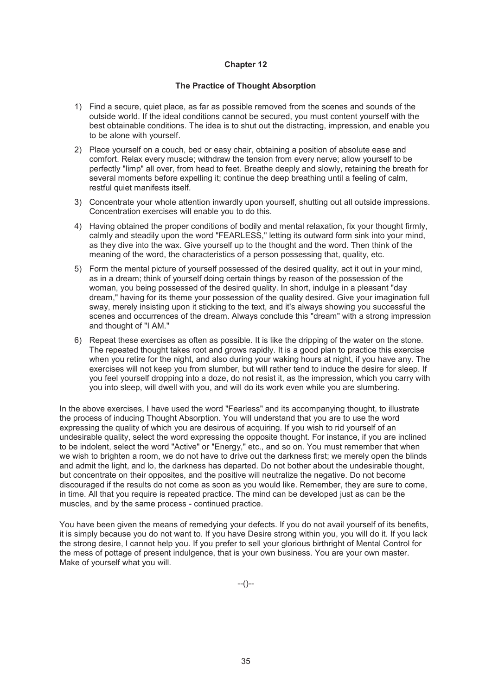#### **The Practice of Thought Absorption**

- 1) Find a secure, quiet place, as far as possible removed from the scenes and sounds of the outside world. If the ideal conditions cannot be secured, you must content yourself with the best obtainable conditions. The idea is to shut out the distracting, impression, and enable you to be alone with yourself.
- 2) Place yourself on a couch, bed or easy chair, obtaining a position of absolute ease and comfort. Relax every muscle; withdraw the tension from every nerve; allow yourself to be perfectly "limp" all over, from head to feet. Breathe deeply and slowly, retaining the breath for several moments before expelling it; continue the deep breathing until a feeling of calm, restful quiet manifests itself.
- 3) Concentrate your whole attention inwardly upon yourself, shutting out all outside impressions. Concentration exercises will enable you to do this.
- 4) Having obtained the proper conditions of bodily and mental relaxation, fix your thought firmly, calmly and steadily upon the word "FEARLESS," letting its outward form sink into your mind, as they dive into the wax. Give yourself up to the thought and the word. Then think of the meaning of the word, the characteristics of a person possessing that, quality, etc.
- 5) Form the mental picture of yourself possessed of the desired quality, act it out in your mind, as in a dream; think of yourself doing certain things by reason of the possession of the woman, you being possessed of the desired quality. In short, indulge in a pleasant "day dream," having for its theme your possession of the quality desired. Give your imagination full sway, merely insisting upon it sticking to the text, and it's always showing you successful the scenes and occurrences of the dream. Always conclude this "dream" with a strong impression and thought of "I AM."
- 6) Repeat these exercises as often as possible. It is like the dripping of the water on the stone. The repeated thought takes root and grows rapidly. It is a good plan to practice this exercise when you retire for the night, and also during your waking hours at night, if you have any. The exercises will not keep you from slumber, but will rather tend to induce the desire for sleep. If you feel yourself dropping into a doze, do not resist it, as the impression, which you carry with you into sleep, will dwell with you, and will do its work even while you are slumbering.

In the above exercises, I have used the word "Fearless" and its accompanying thought, to illustrate the process of inducing Thought Absorption. You will understand that you are to use the word expressing the quality of which you are desirous of acquiring. If you wish to rid yourself of an undesirable quality, select the word expressing the opposite thought. For instance, if you are inclined to be indolent, select the word "Active" or "Energy," etc., and so on. You must remember that when we wish to brighten a room, we do not have to drive out the darkness first; we merely open the blinds and admit the light, and lo, the darkness has departed. Do not bother about the undesirable thought, but concentrate on their opposites, and the positive will neutralize the negative. Do not become discouraged if the results do not come as soon as you would like. Remember, they are sure to come, in time. All that you require is repeated practice. The mind can be developed just as can be the muscles, and by the same process - continued practice.

You have been given the means of remedying your defects. If you do not avail yourself of its benefits, it is simply because you do not want to. If you have Desire strong within you, you will do it. If you lack the strong desire, I cannot help you. If you prefer to sell your glorious birthright of Mental Control for the mess of pottage of present indulgence, that is your own business. You are your own master. Make of yourself what you will.

--()--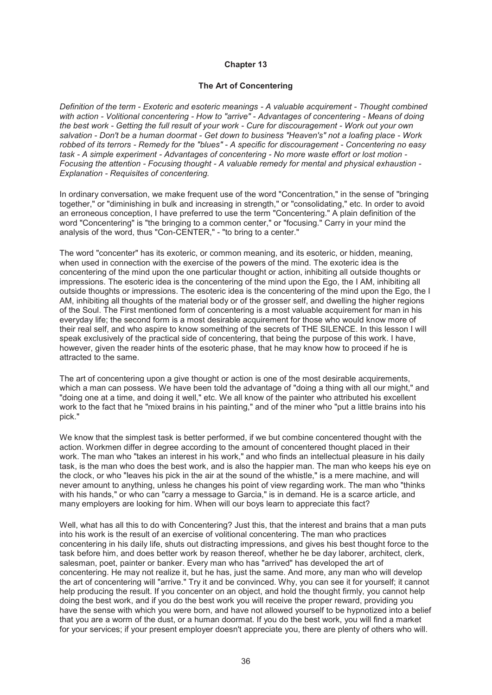#### **The Art of Concentering**

*Definition of the term - Exoteric and esoteric meanings - A valuable acquirement - Thought combined with action - Volitional concentering - How to "arrive" - Advantages of concentering - Means of doing the best work - Getting the full result of your work - Cure for discouragement - Work out your own salvation - Don't be a human doormat - Get down to business "Heaven's" not a loafing place - Work robbed of its terrors - Remedy for the "blues" - A specific for discouragement - Concentering no easy task - A simple experiment - Advantages of concentering - No more waste effort or lost motion - Focusing the attention - Focusing thought - A valuable remedy for mental and physical exhaustion - Explanation - Requisites of concentering.* 

In ordinary conversation, we make frequent use of the word "Concentration," in the sense of "bringing together," or "diminishing in bulk and increasing in strength," or "consolidating," etc. In order to avoid an erroneous conception, I have preferred to use the term "Concentering." A plain definition of the word "Concentering" is "the bringing to a common center," or "focusing." Carry in your mind the analysis of the word, thus "Con-CENTER," - "to bring to a center."

The word "concenter" has its exoteric, or common meaning, and its esoteric, or hidden, meaning, when used in connection with the exercise of the powers of the mind. The exoteric idea is the concentering of the mind upon the one particular thought or action, inhibiting all outside thoughts or impressions. The esoteric idea is the concentering of the mind upon the Ego, the I AM, inhibiting all outside thoughts or impressions. The esoteric idea is the concentering of the mind upon the Ego, the I AM, inhibiting all thoughts of the material body or of the grosser self, and dwelling the higher regions of the Soul. The First mentioned form of concentering is a most valuable acquirement for man in his everyday life; the second form is a most desirable acquirement for those who would know more of their real self, and who aspire to know something of the secrets of THE SILENCE. In this lesson I will speak exclusively of the practical side of concentering, that being the purpose of this work. I have, however, given the reader hints of the esoteric phase, that he may know how to proceed if he is attracted to the same.

The art of concentering upon a give thought or action is one of the most desirable acquirements, which a man can possess. We have been told the advantage of "doing a thing with all our might," and "doing one at a time, and doing it well," etc. We all know of the painter who attributed his excellent work to the fact that he "mixed brains in his painting," and of the miner who "put a little brains into his pick."

We know that the simplest task is better performed, if we but combine concentered thought with the action. Workmen differ in degree according to the amount of concentered thought placed in their work. The man who "takes an interest in his work," and who finds an intellectual pleasure in his daily task, is the man who does the best work, and is also the happier man. The man who keeps his eye on the clock, or who "leaves his pick in the air at the sound of the whistle," is a mere machine, and will never amount to anything, unless he changes his point of view regarding work. The man who "thinks with his hands," or who can "carry a message to Garcia," is in demand. He is a scarce article, and many employers are looking for him. When will our boys learn to appreciate this fact?

Well, what has all this to do with Concentering? Just this, that the interest and brains that a man puts into his work is the result of an exercise of volitional concentering. The man who practices concentering in his daily life, shuts out distracting impressions, and gives his best thought force to the task before him, and does better work by reason thereof, whether he be day laborer, architect, clerk, salesman, poet, painter or banker. Every man who has "arrived" has developed the art of concentering. He may not realize it, but he has, just the same. And more, any man who will develop the art of concentering will "arrive." Try it and be convinced. Why, you can see it for yourself; it cannot help producing the result. If you concenter on an object, and hold the thought firmly, you cannot help doing the best work, and if you do the best work you will receive the proper reward, providing you have the sense with which you were born, and have not allowed yourself to be hypnotized into a belief that you are a worm of the dust, or a human doormat. If you do the best work, you will find a market for your services; if your present employer doesn't appreciate you, there are plenty of others who will.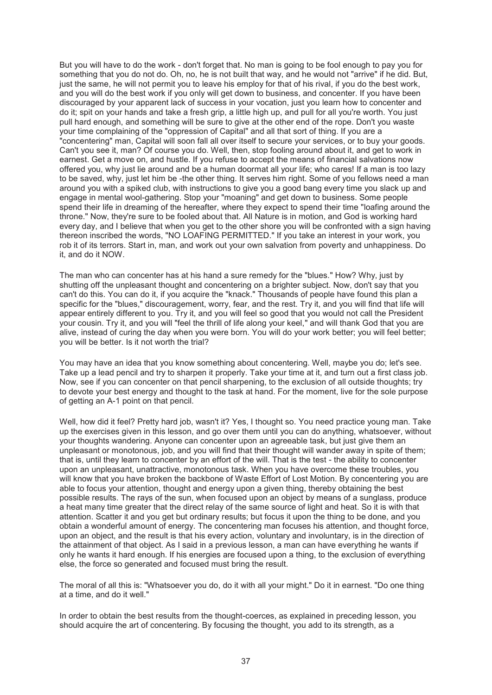But you will have to do the work - don't forget that. No man is going to be fool enough to pay you for something that you do not do. Oh, no, he is not built that way, and he would not "arrive" if he did. But, just the same, he will not permit you to leave his employ for that of his rival, if you do the best work, and you will do the best work if you only will get down to business, and concenter. If you have been discouraged by your apparent lack of success in your vocation, just you learn how to concenter and do it; spit on your hands and take a fresh grip, a little high up, and pull for all you're worth. You just pull hard enough, and something will be sure to give at the other end of the rope. Don't you waste your time complaining of the "oppression of Capital" and all that sort of thing. If you are a "concentering" man, Capital will soon fall all over itself to secure your services, or to buy your goods. Can't you see it, man? Of course you do. Well, then, stop fooling around about it, and get to work in earnest. Get a move on, and hustle. If you refuse to accept the means of financial salvations now offered you, why just lie around and be a human doormat all your life; who cares! If a man is too lazy to be saved, why, just let him be -the other thing. It serves him right. Some of you fellows need a man around you with a spiked club, with instructions to give you a good bang every time you slack up and engage in mental wool-gathering. Stop your "moaning" and get down to business. Some people spend their life in dreaming of the hereafter, where they expect to spend their time "loafing around the throne." Now, they're sure to be fooled about that. All Nature is in motion, and God is working hard every day, and I believe that when you get to the other shore you will be confronted with a sign having thereon inscribed the words, "NO LOAFING PERMITTED." If you take an interest in your work, you rob it of its terrors. Start in, man, and work out your own salvation from poverty and unhappiness. Do it, and do it NOW.

The man who can concenter has at his hand a sure remedy for the "blues." How? Why, just by shutting off the unpleasant thought and concentering on a brighter subject. Now, don't say that you can't do this. You can do it, if you acquire the "knack." Thousands of people have found this plan a specific for the "blues," discouragement, worry, fear, and the rest. Try it, and you will find that life will appear entirely different to you. Try it, and you will feel so good that you would not call the President your cousin. Try it, and you will "feel the thrill of life along your keel," and will thank God that you are alive, instead of curing the day when you were born. You will do your work better; you will feel better; you will be better. Is it not worth the trial?

You may have an idea that you know something about concentering. Well, maybe you do; let's see. Take up a lead pencil and try to sharpen it properly. Take your time at it, and turn out a first class job. Now, see if you can concenter on that pencil sharpening, to the exclusion of all outside thoughts; try to devote your best energy and thought to the task at hand. For the moment, live for the sole purpose of getting an A-1 point on that pencil.

Well, how did it feel? Pretty hard job, wasn't it? Yes, I thought so. You need practice young man. Take up the exercises given in this lesson, and go over them until you can do anything, whatsoever, without your thoughts wandering. Anyone can concenter upon an agreeable task, but just give them an unpleasant or monotonous, job, and you will find that their thought will wander away in spite of them; that is, until they learn to concenter by an effort of the will. That is the test - the ability to concenter upon an unpleasant, unattractive, monotonous task. When you have overcome these troubles, you will know that you have broken the backbone of Waste Effort of Lost Motion. By concentering you are able to focus your attention, thought and energy upon a given thing, thereby obtaining the best possible results. The rays of the sun, when focused upon an object by means of a sunglass, produce a heat many time greater that the direct relay of the same source of light and heat. So it is with that attention. Scatter it and you get but ordinary results; but focus it upon the thing to be done, and you obtain a wonderful amount of energy. The concentering man focuses his attention, and thought force, upon an object, and the result is that his every action, voluntary and involuntary, is in the direction of the attainment of that object. As I said in a previous lesson, a man can have everything he wants if only he wants it hard enough. If his energies are focused upon a thing, to the exclusion of everything else, the force so generated and focused must bring the result.

The moral of all this is: "Whatsoever you do, do it with all your might." Do it in earnest. "Do one thing at a time, and do it well."

In order to obtain the best results from the thought-coerces, as explained in preceding lesson, you should acquire the art of concentering. By focusing the thought, you add to its strength, as a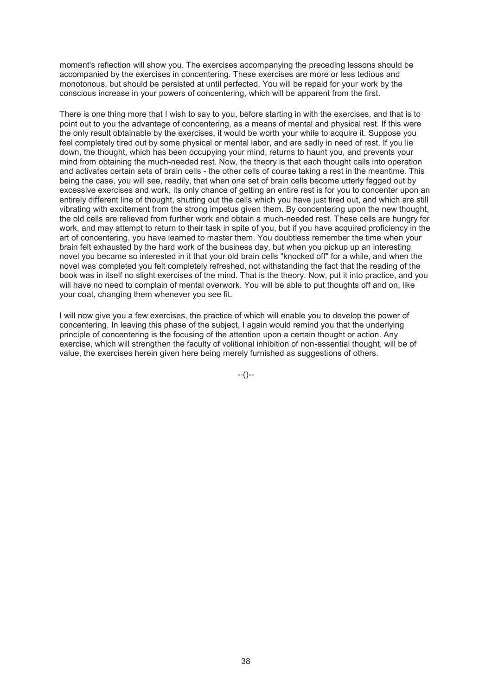moment's reflection will show you. The exercises accompanying the preceding lessons should be accompanied by the exercises in concentering. These exercises are more or less tedious and monotonous, but should be persisted at until perfected. You will be repaid for your work by the conscious increase in your powers of concentering, which will be apparent from the first.

There is one thing more that I wish to say to you, before starting in with the exercises, and that is to point out to you the advantage of concentering, as a means of mental and physical rest. If this were the only result obtainable by the exercises, it would be worth your while to acquire it. Suppose you feel completely tired out by some physical or mental labor, and are sadly in need of rest. If you lie down, the thought, which has been occupying your mind, returns to haunt you, and prevents your mind from obtaining the much-needed rest. Now, the theory is that each thought calls into operation and activates certain sets of brain cells - the other cells of course taking a rest in the meantime. This being the case, you will see, readily, that when one set of brain cells become utterly fagged out by excessive exercises and work, its only chance of getting an entire rest is for you to concenter upon an entirely different line of thought, shutting out the cells which you have just tired out, and which are still vibrating with excitement from the strong impetus given them. By concentering upon the new thought, the old cells are relieved from further work and obtain a much-needed rest. These cells are hungry for work, and may attempt to return to their task in spite of you, but if you have acquired proficiency in the art of concentering, you have learned to master them. You doubtless remember the time when your brain felt exhausted by the hard work of the business day, but when you pickup up an interesting novel you became so interested in it that your old brain cells "knocked off" for a while, and when the novel was completed you felt completely refreshed, not withstanding the fact that the reading of the book was in itself no slight exercises of the mind. That is the theory. Now, put it into practice, and you will have no need to complain of mental overwork. You will be able to put thoughts off and on, like your coat, changing them whenever you see fit.

I will now give you a few exercises, the practice of which will enable you to develop the power of concentering. In leaving this phase of the subject, I again would remind you that the underlying principle of concentering is the focusing of the attention upon a certain thought or action. Any exercise, which will strengthen the faculty of volitional inhibition of non-essential thought, will be of value, the exercises herein given here being merely furnished as suggestions of others.

 $-(-)$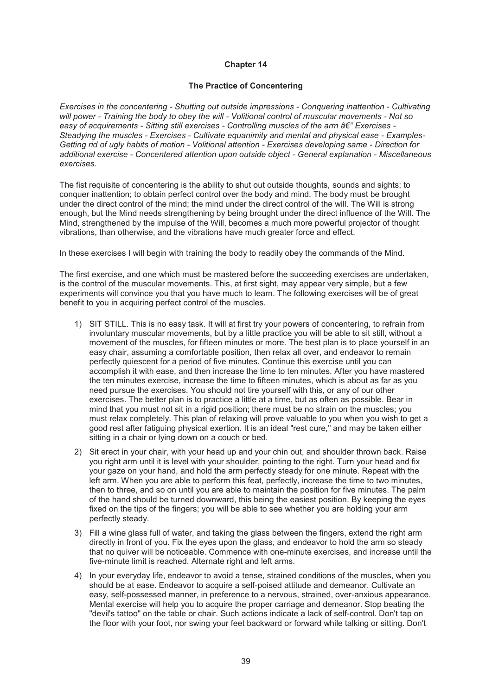## **The Practice of Concentering**

*Exercises in the concentering - Shutting out outside impressions - Conquering inattention - Cultivating will power - Training the body to obey the will - Volitional control of muscular movements - Not so easy of acquirements - Sitting still exercises - Controlling muscles of the arm â€ Exercises -Steadying the muscles - Exercises - Cultivate equanimity and mental and physical ease - Examples-Getting rid of ugly habits of motion - Volitional attention - Exercises developing same - Direction for additional exercise - Concentered attention upon outside object - General explanation - Miscellaneous exercises.* 

The fist requisite of concentering is the ability to shut out outside thoughts, sounds and sights; to conquer inattention; to obtain perfect control over the body and mind. The body must be brought under the direct control of the mind; the mind under the direct control of the will. The Will is strong enough, but the Mind needs strengthening by being brought under the direct influence of the Will. The Mind, strengthened by the impulse of the Will, becomes a much more powerful projector of thought vibrations, than otherwise, and the vibrations have much greater force and effect.

In these exercises I will begin with training the body to readily obey the commands of the Mind.

The first exercise, and one which must be mastered before the succeeding exercises are undertaken, is the control of the muscular movements. This, at first sight, may appear very simple, but a few experiments will convince you that you have much to learn. The following exercises will be of great benefit to you in acquiring perfect control of the muscles.

- 1) SIT STILL. This is no easy task. It will at first try your powers of concentering, to refrain from involuntary muscular movements, but by a little practice you will be able to sit still, without a movement of the muscles, for fifteen minutes or more. The best plan is to place yourself in an easy chair, assuming a comfortable position, then relax all over, and endeavor to remain perfectly quiescent for a period of five minutes. Continue this exercise until you can accomplish it with ease, and then increase the time to ten minutes. After you have mastered the ten minutes exercise, increase the time to fifteen minutes, which is about as far as you need pursue the exercises. You should not tire yourself with this, or any of our other exercises. The better plan is to practice a little at a time, but as often as possible. Bear in mind that you must not sit in a rigid position; there must be no strain on the muscles; you must relax completely. This plan of relaxing will prove valuable to you when you wish to get a good rest after fatiguing physical exertion. It is an ideal "rest cure," and may be taken either sitting in a chair or lying down on a couch or bed.
- 2) Sit erect in your chair, with your head up and your chin out, and shoulder thrown back. Raise you right arm until it is level with your shoulder, pointing to the right. Turn your head and fix your gaze on your hand, and hold the arm perfectly steady for one minute. Repeat with the left arm. When you are able to perform this feat, perfectly, increase the time to two minutes, then to three, and so on until you are able to maintain the position for five minutes. The palm of the hand should be turned downward, this being the easiest position. By keeping the eyes fixed on the tips of the fingers; you will be able to see whether you are holding your arm perfectly steady.
- 3) Fill a wine glass full of water, and taking the glass between the fingers, extend the right arm directly in front of you. Fix the eyes upon the glass, and endeavor to hold the arm so steady that no quiver will be noticeable. Commence with one-minute exercises, and increase until the five-minute limit is reached. Alternate right and left arms.
- 4) In your everyday life, endeavor to avoid a tense, strained conditions of the muscles, when you should be at ease. Endeavor to acquire a self-poised attitude and demeanor. Cultivate an easy, self-possessed manner, in preference to a nervous, strained, over-anxious appearance. Mental exercise will help you to acquire the proper carriage and demeanor. Stop beating the "devil's tattoo" on the table or chair. Such actions indicate a lack of self-control. Don't tap on the floor with your foot, nor swing your feet backward or forward while talking or sitting. Don't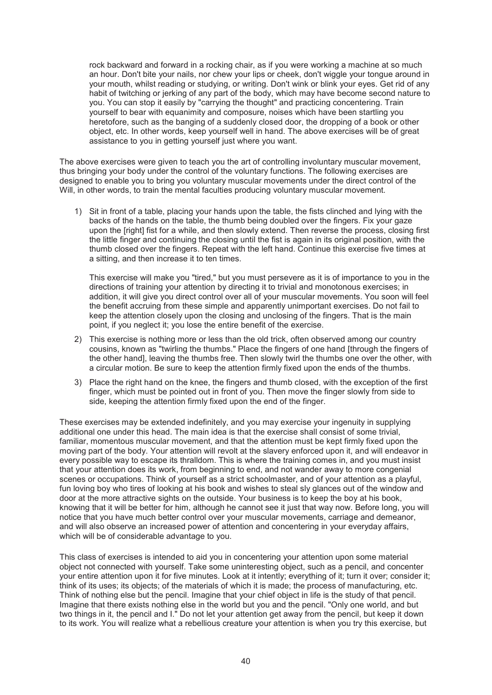rock backward and forward in a rocking chair, as if you were working a machine at so much an hour. Don't bite your nails, nor chew your lips or cheek, don't wiggle your tongue around in your mouth, whilst reading or studying, or writing. Don't wink or blink your eyes. Get rid of any habit of twitching or jerking of any part of the body, which may have become second nature to you. You can stop it easily by "carrying the thought" and practicing concentering. Train yourself to bear with equanimity and composure, noises which have been startling you heretofore, such as the banging of a suddenly closed door, the dropping of a book or other object, etc. In other words, keep yourself well in hand. The above exercises will be of great assistance to you in getting yourself just where you want.

The above exercises were given to teach you the art of controlling involuntary muscular movement, thus bringing your body under the control of the voluntary functions. The following exercises are designed to enable you to bring you voluntary muscular movements under the direct control of the Will, in other words, to train the mental faculties producing voluntary muscular movement.

1) Sit in front of a table, placing your hands upon the table, the fists clinched and lying with the backs of the hands on the table, the thumb being doubled over the fingers. Fix your gaze upon the [right] fist for a while, and then slowly extend. Then reverse the process, closing first the little finger and continuing the closing until the fist is again in its original position, with the thumb closed over the fingers. Repeat with the left hand. Continue this exercise five times at a sitting, and then increase it to ten times.

This exercise will make you "tired," but you must persevere as it is of importance to you in the directions of training your attention by directing it to trivial and monotonous exercises; in addition, it will give you direct control over all of your muscular movements. You soon will feel the benefit accruing from these simple and apparently unimportant exercises. Do not fail to keep the attention closely upon the closing and unclosing of the fingers. That is the main point, if you neglect it; you lose the entire benefit of the exercise.

- 2) This exercise is nothing more or less than the old trick, often observed among our country cousins, known as "twirling the thumbs." Place the fingers of one hand [through the fingers of the other hand], leaving the thumbs free. Then slowly twirl the thumbs one over the other, with a circular motion. Be sure to keep the attention firmly fixed upon the ends of the thumbs.
- 3) Place the right hand on the knee, the fingers and thumb closed, with the exception of the first finger, which must be pointed out in front of you. Then move the finger slowly from side to side, keeping the attention firmly fixed upon the end of the finger.

These exercises may be extended indefinitely, and you may exercise your ingenuity in supplying additional one under this head. The main idea is that the exercise shall consist of some trivial, familiar, momentous muscular movement, and that the attention must be kept firmly fixed upon the moving part of the body. Your attention will revolt at the slavery enforced upon it, and will endeavor in every possible way to escape its thralldom. This is where the training comes in, and you must insist that your attention does its work, from beginning to end, and not wander away to more congenial scenes or occupations. Think of yourself as a strict schoolmaster, and of your attention as a playful, fun loving boy who tires of looking at his book and wishes to steal sly glances out of the window and door at the more attractive sights on the outside. Your business is to keep the boy at his book, knowing that it will be better for him, although he cannot see it just that way now. Before long, you will notice that you have much better control over your muscular movements, carriage and demeanor, and will also observe an increased power of attention and concentering in your everyday affairs, which will be of considerable advantage to you.

This class of exercises is intended to aid you in concentering your attention upon some material object not connected with yourself. Take some uninteresting object, such as a pencil, and concenter your entire attention upon it for five minutes. Look at it intently; everything of it; turn it over; consider it; think of its uses; its objects; of the materials of which it is made; the process of manufacturing, etc. Think of nothing else but the pencil. Imagine that your chief object in life is the study of that pencil. Imagine that there exists nothing else in the world but you and the pencil. "Only one world, and but two things in it, the pencil and I." Do not let your attention get away from the pencil, but keep it down to its work. You will realize what a rebellious creature your attention is when you try this exercise, but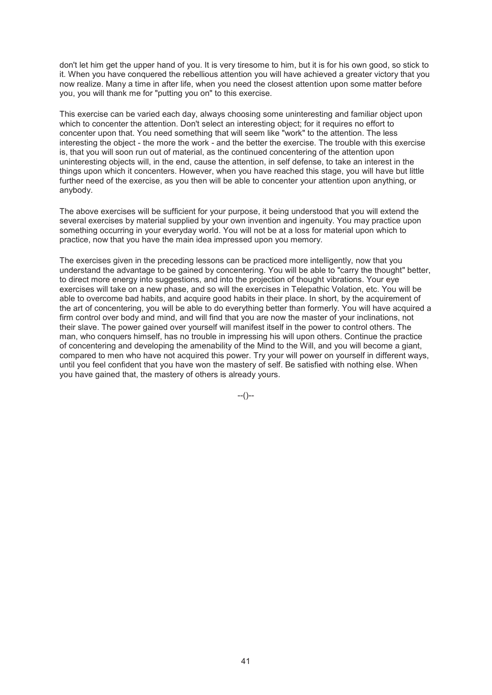don't let him get the upper hand of you. It is very tiresome to him, but it is for his own good, so stick to it. When you have conquered the rebellious attention you will have achieved a greater victory that you now realize. Many a time in after life, when you need the closest attention upon some matter before you, you will thank me for "putting you on" to this exercise.

This exercise can be varied each day, always choosing some uninteresting and familiar object upon which to concenter the attention. Don't select an interesting object; for it requires no effort to concenter upon that. You need something that will seem like "work" to the attention. The less interesting the object - the more the work - and the better the exercise. The trouble with this exercise is, that you will soon run out of material, as the continued concentering of the attention upon uninteresting objects will, in the end, cause the attention, in self defense, to take an interest in the things upon which it concenters. However, when you have reached this stage, you will have but little further need of the exercise, as you then will be able to concenter your attention upon anything, or anybody.

The above exercises will be sufficient for your purpose, it being understood that you will extend the several exercises by material supplied by your own invention and ingenuity. You may practice upon something occurring in your everyday world. You will not be at a loss for material upon which to practice, now that you have the main idea impressed upon you memory.

The exercises given in the preceding lessons can be practiced more intelligently, now that you understand the advantage to be gained by concentering. You will be able to "carry the thought" better, to direct more energy into suggestions, and into the projection of thought vibrations. Your eye exercises will take on a new phase, and so will the exercises in Telepathic Volation, etc. You will be able to overcome bad habits, and acquire good habits in their place. In short, by the acquirement of the art of concentering, you will be able to do everything better than formerly. You will have acquired a firm control over body and mind, and will find that you are now the master of your inclinations, not their slave. The power gained over yourself will manifest itself in the power to control others. The man, who conquers himself, has no trouble in impressing his will upon others. Continue the practice of concentering and developing the amenability of the Mind to the Will, and you will become a giant, compared to men who have not acquired this power. Try your will power on yourself in different ways, until you feel confident that you have won the mastery of self. Be satisfied with nothing else. When you have gained that, the mastery of others is already yours.

 $-(-)$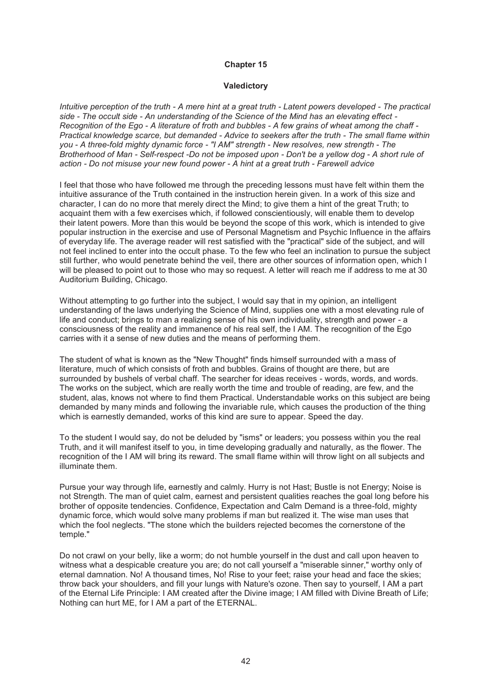#### **Valedictory**

*Intuitive perception of the truth - A mere hint at a great truth - Latent powers developed - The practical side - The occult side - An understanding of the Science of the Mind has an elevating effect - Recognition of the Ego - A literature of froth and bubbles - A few grains of wheat among the chaff - Practical knowledge scarce, but demanded - Advice to seekers after the truth - The small flame within you - A three-fold mighty dynamic force - "I AM" strength - New resolves, new strength - The Brotherhood of Man - Self-respect -Do not be imposed upon - Don't be a yellow dog - A short rule of action - Do not misuse your new found power - A hint at a great truth - Farewell advice* 

I feel that those who have followed me through the preceding lessons must have felt within them the intuitive assurance of the Truth contained in the instruction herein given. In a work of this size and character, I can do no more that merely direct the Mind; to give them a hint of the great Truth; to acquaint them with a few exercises which, if followed conscientiously, will enable them to develop their latent powers. More than this would be beyond the scope of this work, which is intended to give popular instruction in the exercise and use of Personal Magnetism and Psychic Influence in the affairs of everyday life. The average reader will rest satisfied with the "practical" side of the subject, and will not feel inclined to enter into the occult phase. To the few who feel an inclination to pursue the subject still further, who would penetrate behind the veil, there are other sources of information open, which I will be pleased to point out to those who may so request. A letter will reach me if address to me at 30 Auditorium Building, Chicago.

Without attempting to go further into the subject, I would say that in my opinion, an intelligent understanding of the laws underlying the Science of Mind, supplies one with a most elevating rule of life and conduct; brings to man a realizing sense of his own individuality, strength and power - a consciousness of the reality and immanence of his real self, the I AM. The recognition of the Ego carries with it a sense of new duties and the means of performing them.

The student of what is known as the "New Thought" finds himself surrounded with a mass of literature, much of which consists of froth and bubbles. Grains of thought are there, but are surrounded by bushels of verbal chaff. The searcher for ideas receives - words, words, and words. The works on the subject, which are really worth the time and trouble of reading, are few, and the student, alas, knows not where to find them Practical. Understandable works on this subject are being demanded by many minds and following the invariable rule, which causes the production of the thing which is earnestly demanded, works of this kind are sure to appear. Speed the day.

To the student I would say, do not be deluded by "isms" or leaders; you possess within you the real Truth, and it will manifest itself to you, in time developing gradually and naturally, as the flower. The recognition of the I AM will bring its reward. The small flame within will throw light on all subjects and illuminate them.

Pursue your way through life, earnestly and calmly. Hurry is not Hast; Bustle is not Energy; Noise is not Strength. The man of quiet calm, earnest and persistent qualities reaches the goal long before his brother of opposite tendencies. Confidence, Expectation and Calm Demand is a three-fold, mighty dynamic force, which would solve many problems if man but realized it. The wise man uses that which the fool neglects. "The stone which the builders rejected becomes the cornerstone of the temple."

Do not crawl on your belly, like a worm; do not humble yourself in the dust and call upon heaven to witness what a despicable creature you are; do not call yourself a "miserable sinner," worthy only of eternal damnation. No! A thousand times, No! Rise to your feet; raise your head and face the skies; throw back your shoulders, and fill your lungs with Nature's ozone. Then say to yourself, I AM a part of the Eternal Life Principle: I AM created after the Divine image; I AM filled with Divine Breath of Life; Nothing can hurt ME, for I AM a part of the ETERNAL.